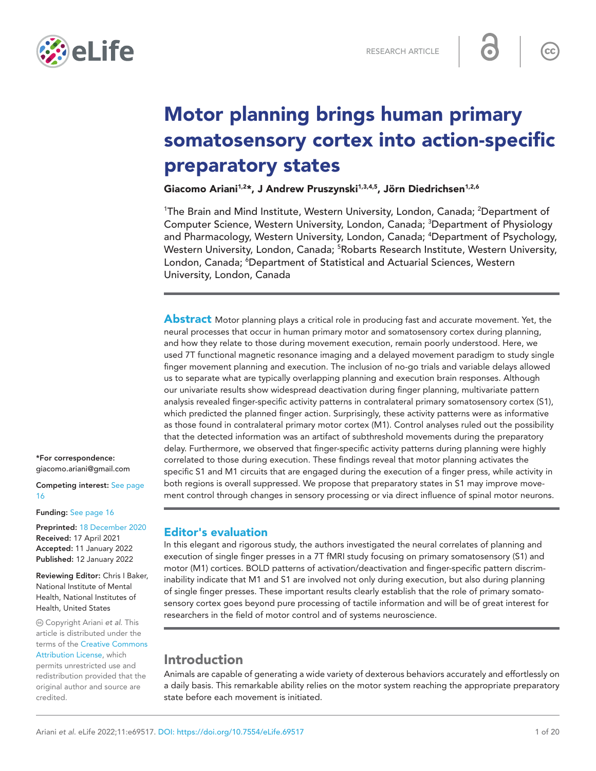

# Motor planning brings human primary somatosensory cortex into action-specific preparatory states

Giacomo Ariani<sup>1,2\*</sup>, J Andrew Pruszynski<sup>1,3,4,5</sup>, Jörn Diedrichsen<sup>1,2,6</sup>

<sup>1</sup>The Brain and Mind Institute, Western University, London, Canada; <sup>2</sup>Department of Computer Science, Western University, London, Canada; <sup>3</sup>Department of Physiology and Pharmacology, Western University, London, Canada; <sup>4</sup>Department of Psychology, Western University, London, Canada; <sup>5</sup>Robarts Research Institute, Western University, London, Canada; <sup>6</sup>Department of Statistical and Actuarial Sciences, Western University, London, Canada

Abstract Motor planning plays a critical role in producing fast and accurate movement. Yet, the neural processes that occur in human primary motor and somatosensory cortex during planning, and how they relate to those during movement execution, remain poorly understood. Here, we used 7T functional magnetic resonance imaging and a delayed movement paradigm to study single finger movement planning and execution. The inclusion of no-go trials and variable delays allowed us to separate what are typically overlapping planning and execution brain responses. Although our univariate results show widespread deactivation during finger planning, multivariate pattern analysis revealed finger-specific activity patterns in contralateral primary somatosensory cortex (S1), which predicted the planned finger action. Surprisingly, these activity patterns were as informative as those found in contralateral primary motor cortex (M1). Control analyses ruled out the possibility that the detected information was an artifact of subthreshold movements during the preparatory delay. Furthermore, we observed that finger-specific activity patterns during planning were highly correlated to those during execution. These findings reveal that motor planning activates the specific S1 and M1 circuits that are engaged during the execution of a finger press, while activity in both regions is overall suppressed. We propose that preparatory states in S1 may improve movement control through changes in sensory processing or via direct influence of spinal motor neurons.

\*For correspondence: [giacomo.ariani@gmail.com](mailto:giacomo.ariani@gmail.com)

Competing interest: [See page](#page-15-0)  [16](#page-15-0)

#### Funding: [See page 16](#page-15-1)

Preprinted: [18 December 2020](https://doi.org/10.1101/2020.12.17.423254) Received: 17 April 2021 Accepted: 11 January 2022 Published: 12 January 2022

Reviewing Editor: Chris I Baker, National Institute of Mental Health, National Institutes of Health, United States

 Copyright Ariani *et al*. This article is distributed under the terms of the [Creative Commons](http://creativecommons.org/licenses/by/4.0/)  [Attribution License](http://creativecommons.org/licenses/by/4.0/), which permits unrestricted use and redistribution provided that the original author and source are

credited.

# Editor's evaluation

In this elegant and rigorous study, the authors investigated the neural correlates of planning and execution of single finger presses in a 7T fMRI study focusing on primary somatosensory (S1) and motor (M1) cortices. BOLD patterns of activation/deactivation and finger-specific pattern discriminability indicate that M1 and S1 are involved not only during execution, but also during planning of single finger presses. These important results clearly establish that the role of primary somatosensory cortex goes beyond pure processing of tactile information and will be of great interest for researchers in the field of motor control and of systems neuroscience.

# Introduction

Animals are capable of generating a wide variety of dexterous behaviors accurately and effortlessly on a daily basis. This remarkable ability relies on the motor system reaching the appropriate preparatory state before each movement is initiated.

 $cc$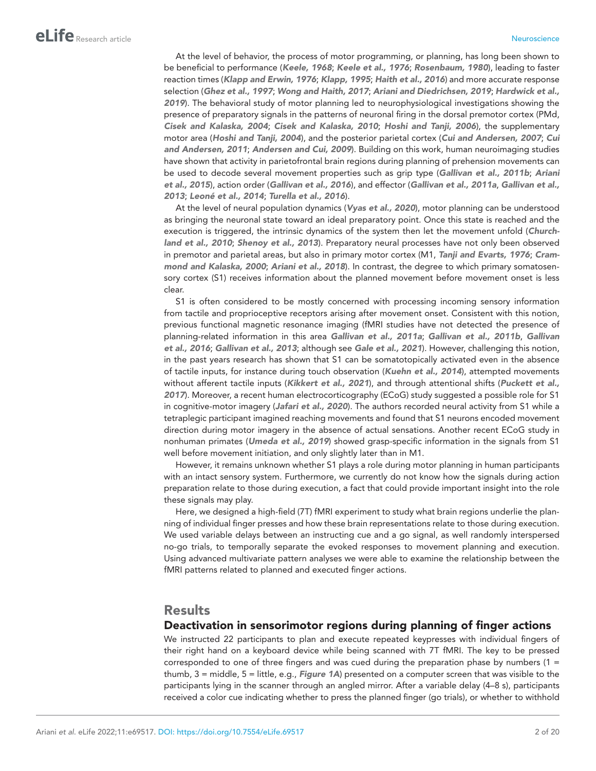At the level of behavior, the process of motor programming, or planning, has long been shown to be beneficial to performance (*[Keele, 1968](#page-18-0)*; *[Keele et al., 1976](#page-18-1)*; *[Rosenbaum, 1980](#page-18-2)*), leading to faster reaction times (*[Klapp and Erwin, 1976](#page-18-3)*; *[Klapp, 1995](#page-18-4)*; *[Haith et al., 2016](#page-17-0)*) and more accurate response selection (*[Ghez et al., 1997](#page-17-1)*; *[Wong and Haith, 2017](#page-19-0)*; *[Ariani and Diedrichsen, 2019](#page-16-0)*; *[Hardwick et al.,](#page-17-2)  [2019](#page-17-2)*). The behavioral study of motor planning led to neurophysiological investigations showing the presence of preparatory signals in the patterns of neuronal firing in the dorsal premotor cortex (PMd, *[Cisek and Kalaska, 2004](#page-16-1)*; *[Cisek and Kalaska, 2010](#page-16-2)*; *[Hoshi and Tanji, 2006](#page-18-5)*), the supplementary motor area (*[Hoshi and Tanji, 2004](#page-17-3)*), and the posterior parietal cortex (*[Cui and Andersen, 2007](#page-17-4)*; *[Cui](#page-17-5)  [and Andersen, 2011](#page-17-5)*; *[Andersen and Cui, 2009](#page-16-3)*). Building on this work, human neuroimaging studies have shown that activity in parietofrontal brain regions during planning of prehension movements can be used to decode several movement properties such as grip type (*[Gallivan et al., 2011b](#page-17-6)*; *[Ariani](#page-16-4)  [et al., 2015](#page-16-4)*), action order (*[Gallivan et al., 2016](#page-17-7)*), and effector (*[Gallivan et al., 2011a](#page-17-8)*, *[Gallivan et al.,](#page-17-9)  [2013](#page-17-9)*; *[Leoné et al., 2014](#page-18-6)*; *[Turella et al., 2016](#page-19-1)*).

At the level of neural population dynamics (*[Vyas et al., 2020](#page-19-2)*), motor planning can be understood as bringing the neuronal state toward an ideal preparatory point. Once this state is reached and the execution is triggered, the intrinsic dynamics of the system then let the movement unfold (*[Church](#page-16-5)[land et al., 2010](#page-16-5)*; *[Shenoy et al., 2013](#page-18-7)*). Preparatory neural processes have not only been observed in premotor and parietal areas, but also in primary motor cortex (M1, *[Tanji and Evarts, 1976](#page-18-8)*; *[Cram](#page-17-10)[mond and Kalaska, 2000](#page-17-10)*; *[Ariani et al., 2018](#page-16-6)*). In contrast, the degree to which primary somatosensory cortex (S1) receives information about the planned movement before movement onset is less clear.

S1 is often considered to be mostly concerned with processing incoming sensory information from tactile and proprioceptive receptors arising after movement onset. Consistent with this notion, previous functional magnetic resonance imaging (fMRI studies have not detected the presence of planning-related information in this area *[Gallivan et al., 2011a](#page-17-8)*; *[Gallivan et al., 2011b](#page-17-6)*, *[Gallivan](#page-17-7)  [et al., 2016](#page-17-7)*; *[Gallivan et al., 2013](#page-17-9)*; although see *[Gale et al., 2021](#page-17-11)*). However, challenging this notion, in the past years research has shown that S1 can be somatotopically activated even in the absence of tactile inputs, for instance during touch observation (*[Kuehn et al., 2014](#page-18-9)*), attempted movements without afferent tactile inputs (*[Kikkert et al., 2021](#page-18-10)*), and through attentional shifts (*[Puckett et al.,](#page-18-11)  [2017](#page-18-11)*). Moreover, a recent human electrocorticography (ECoG) study suggested a possible role for S1 in cognitive-motor imagery (*[Jafari et al., 2020](#page-18-12)*). The authors recorded neural activity from S1 while a tetraplegic participant imagined reaching movements and found that S1 neurons encoded movement direction during motor imagery in the absence of actual sensations. Another recent ECoG study in nonhuman primates (*[Umeda et al., 2019](#page-19-3)*) showed grasp-specific information in the signals from S1 well before movement initiation, and only slightly later than in M1.

However, it remains unknown whether S1 plays a role during motor planning in human participants with an intact sensory system. Furthermore, we currently do not know how the signals during action preparation relate to those during execution, a fact that could provide important insight into the role these signals may play.

Here, we designed a high-field (7T) fMRI experiment to study what brain regions underlie the planning of individual finger presses and how these brain representations relate to those during execution. We used variable delays between an instructing cue and a go signal, as well randomly interspersed no-go trials, to temporally separate the evoked responses to movement planning and execution. Using advanced multivariate pattern analyses we were able to examine the relationship between the fMRI patterns related to planned and executed finger actions.

# **Results**

## Deactivation in sensorimotor regions during planning of finger actions

We instructed 22 participants to plan and execute repeated keypresses with individual fingers of their right hand on a keyboard device while being scanned with 7T fMRI. The key to be pressed corresponded to one of three fingers and was cued during the preparation phase by numbers  $(1 =$ thumb, 3 = middle, 5 = little, e.g., *[Figure 1A](#page-2-0)*) presented on a computer screen that was visible to the participants lying in the scanner through an angled mirror. After a variable delay (4–8 s), participants received a color cue indicating whether to press the planned finger (go trials), or whether to withhold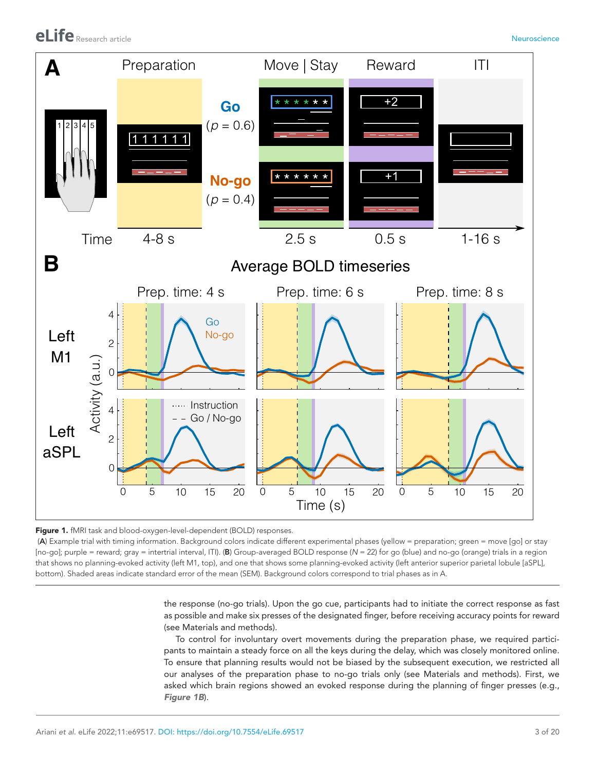

<span id="page-2-0"></span>Figure 1. fMRI task and blood-oxygen-level-dependent (BOLD) responses.

 (A) Example trial with timing information. Background colors indicate different experimental phases (yellow = preparation; green = move [go] or stay [no-go]; purple = reward; gray = intertrial interval, ITI). (B) Group-averaged BOLD response (*N* = 22) for go (blue) and no-go (orange) trials in a region that shows no planning-evoked activity (left M1, top), and one that shows some planning-evoked activity (left anterior superior parietal lobule [aSPL], bottom). Shaded areas indicate standard error of the mean (SEM). Background colors correspond to trial phases as in A.

> the response (no-go trials). Upon the go cue, participants had to initiate the correct response as fast as possible and make six presses of the designated finger, before receiving accuracy points for reward (see Materials and methods).

> To control for involuntary overt movements during the preparation phase, we required participants to maintain a steady force on all the keys during the delay, which was closely monitored online. To ensure that planning results would not be biased by the subsequent execution, we restricted all our analyses of the preparation phase to no-go trials only (see Materials and methods). First, we asked which brain regions showed an evoked response during the planning of finger presses (e.g., *[Figure 1B](#page-2-0)*).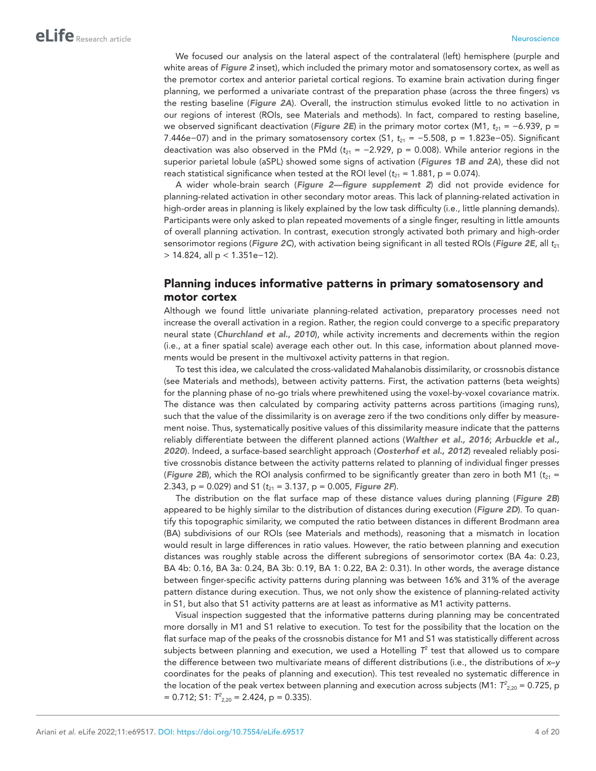We focused our analysis on the lateral aspect of the contralateral (left) hemisphere (purple and white areas of *[Figure 2](#page-4-0)* inset), which included the primary motor and somatosensory cortex, as well as the premotor cortex and anterior parietal cortical regions. To examine brain activation during finger planning, we performed a univariate contrast of the preparation phase (across the three fingers) vs the resting baseline (*[Figure 2A](#page-4-0)*). Overall, the instruction stimulus evoked little to no activation in our regions of interest (ROIs, see Materials and methods). In fact, compared to resting baseline, we observed significant deactivation (*[Figure 2E](#page-4-0)*) in the primary motor cortex (M1, *t*<sub>21</sub> = −6.939, p = 7.446e−07) and in the primary somatosensory cortex (S1,  $t_{21} = -5.508$ , p = 1.823e−05). Significant deactivation was also observed in the PMd ( $t_{21}$  = -2.929, p = 0.008). While anterior regions in the superior parietal lobule (aSPL) showed some signs of activation (*[Figures 1B and 2A](#page-2-0)*), these did not reach statistical significance when tested at the ROI level  $(t_{21} = 1.881, p = 0.074)$ .

A wider whole-brain search (*[Figure 2—figure supplement 2](#page-5-0)*) did not provide evidence for planning-related activation in other secondary motor areas. This lack of planning-related activation in high-order areas in planning is likely explained by the low task difficulty (i.e., little planning demands). Participants were only asked to plan repeated movements of a single finger, resulting in little amounts of overall planning activation. In contrast, execution strongly activated both primary and high-order sensorimotor regions (*[Figure 2C](#page-4-0)*), with activation being significant in all tested ROIs (*[Figure 2E](#page-4-0)*, all *t*<sub>21</sub> > 14.824, all p < 1.351e−12).

# Planning induces informative patterns in primary somatosensory and motor cortex

Although we found little univariate planning-related activation, preparatory processes need not increase the overall activation in a region. Rather, the region could converge to a specific preparatory neural state (*[Churchland et al., 2010](#page-16-5)*), while activity increments and decrements within the region (i.e., at a finer spatial scale) average each other out. In this case, information about planned movements would be present in the multivoxel activity patterns in that region.

To test this idea, we calculated the cross-validated Mahalanobis dissimilarity, or crossnobis distance (see Materials and methods), between activity patterns. First, the activation patterns (beta weights) for the planning phase of no-go trials where prewhitened using the voxel-by-voxel covariance matrix. The distance was then calculated by comparing activity patterns across partitions (imaging runs), such that the value of the dissimilarity is on average zero if the two conditions only differ by measurement noise. Thus, systematically positive values of this dissimilarity measure indicate that the patterns reliably differentiate between the different planned actions (*[Walther et al., 2016](#page-19-4)*; *[Arbuckle et al.,](#page-16-7)  [2020](#page-16-7)*). Indeed, a surface-based searchlight approach (*[Oosterhof et al., 2012](#page-18-13)*) revealed reliably positive crossnobis distance between the activity patterns related to planning of individual finger presses (**[Figure 2B](#page-4-0)**), which the ROI analysis confirmed to be significantly greater than zero in both M1 ( $t_{21}$  = 2.343, p = 0.029) and S1 ( $t_{21}$  = 3.137, p = 0.005, **[Figure 2F](#page-4-0)**).

The distribution on the flat surface map of these distance values during planning (*[Figure 2B](#page-4-0)*) appeared to be highly similar to the distribution of distances during execution (*[Figure 2D](#page-4-0)*). To quantify this topographic similarity, we computed the ratio between distances in different Brodmann area (BA) subdivisions of our ROIs (see Materials and methods), reasoning that a mismatch in location would result in large differences in ratio values. However, the ratio between planning and execution distances was roughly stable across the different subregions of sensorimotor cortex (BA 4a: 0.23, BA 4b: 0.16, BA 3a: 0.24, BA 3b: 0.19, BA 1: 0.22, BA 2: 0.31). In other words, the average distance between finger-specific activity patterns during planning was between 16% and 31% of the average pattern distance during execution. Thus, we not only show the existence of planning-related activity in S1, but also that S1 activity patterns are at least as informative as M1 activity patterns.

Visual inspection suggested that the informative patterns during planning may be concentrated more dorsally in M1 and S1 relative to execution. To test for the possibility that the location on the flat surface map of the peaks of the crossnobis distance for M1 and S1 was statistically different across subjects between planning and execution, we used a Hotelling  $T^2$  test that allowed us to compare the difference between two multivariate means of different distributions (i.e., the distributions of *x*–*y* coordinates for the peaks of planning and execution). This test revealed no systematic difference in the location of the peak vertex between planning and execution across subjects (M1:  $T_{2,20}$  = 0.725, p  $= 0.712$ ; S1:  $T_{2,20}^2 = 2.424$ , p  $= 0.335$ ).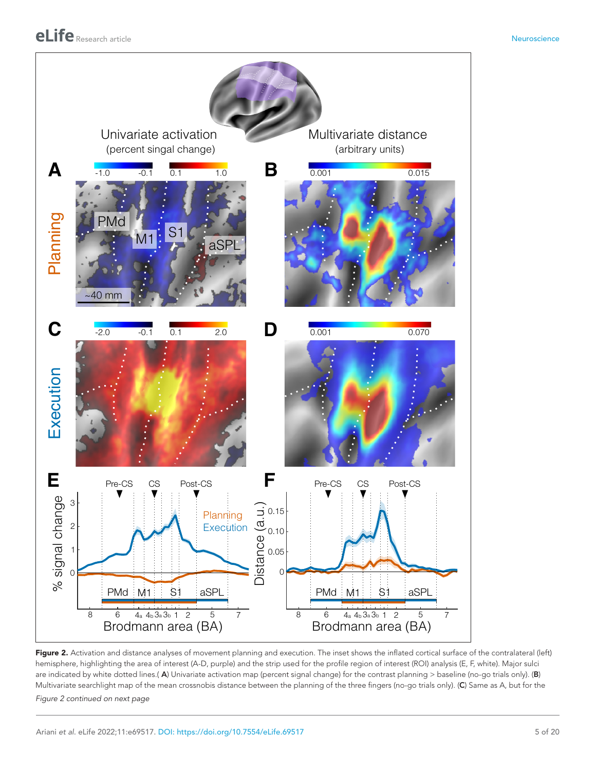

<span id="page-4-0"></span>Figure 2. Activation and distance analyses of movement planning and execution. The inset shows the inflated cortical surface of the contralateral (left) hemisphere, highlighting the area of interest (A-D, purple) and the strip used for the profile region of interest (ROI) analysis (E, F, white). Major sulci are indicated by white dotted lines.( A) Univariate activation map (percent signal change) for the contrast planning > baseline (no-go trials only). (B) Multivariate searchlight map of the mean crossnobis distance between the planning of the three fingers (no-go trials only). (C) Same as A, but for the

*Figure 2 continued on next page*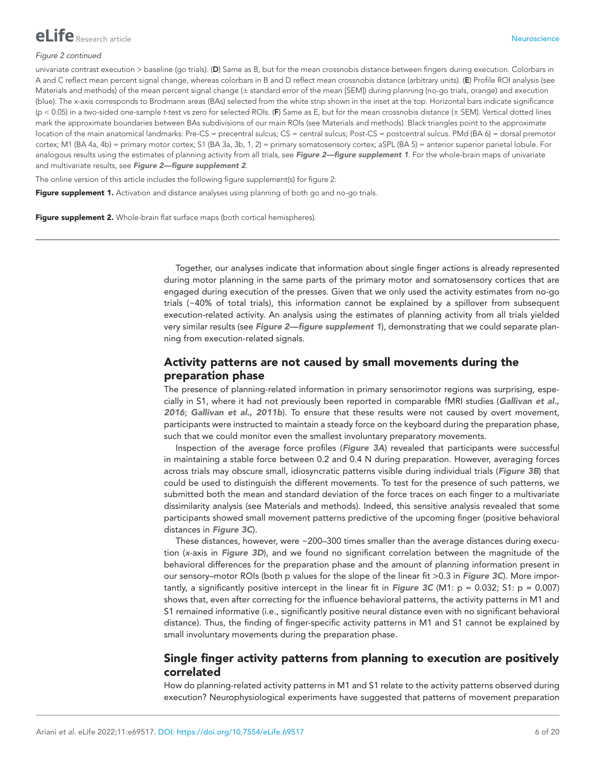

#### *Figure 2 continued*

univariate contrast execution > baseline (qo trials). (D) Same as B, but for the mean crossnobis distance between fingers during execution. Colorbars in A and C reflect mean percent signal change, whereas colorbars in B and D reflect mean crossnobis distance (arbitrary units). (E) Profile ROI analysis (see Materials and methods) of the mean percent signal change (± standard error of the mean [SEM]) during planning (no-go trials, orange) and execution (blue). The *x*-axis corresponds to Brodmann areas (BAs) selected from the white strip shown in the inset at the top. Horizontal bars indicate significance (p < 0.05) in a two-sided one-sample *t*-test vs zero for selected ROIs. (F) Same as E, but for the mean crossnobis distance (± SEM). Vertical dotted lines mark the approximate boundaries between BAs subdivisions of our main ROIs (see Materials and methods). Black triangles point to the approximate location of the main anatomical landmarks: Pre-CS = precentral sulcus; CS = central sulcus; Post-CS = postcentral sulcus. PMd (BA 6) = dorsal premotor cortex; M1 (BA 4a, 4b) = primary motor cortex; S1 (BA 3a, 3b, 1, 2) = primary somatosensory cortex; aSPL (BA 5) = anterior superior parietal lobule. For analogous results using the estimates of planning activity from all trials, see *[Figure 2—figure supplement 1](#page-5-1)*. For the whole-brain maps of univariate and multivariate results, see *[Figure 2—figure supplement 2](#page-5-0)*.

The online version of this article includes the following figure supplement(s) for figure 2:

<span id="page-5-1"></span>Figure supplement 1. Activation and distance analyses using planning of both go and no-go trials.

<span id="page-5-0"></span>Figure supplement 2. Whole-brain flat surface maps (both cortical hemispheres).

Together, our analyses indicate that information about single finger actions is already represented during motor planning in the same parts of the primary motor and somatosensory cortices that are engaged during execution of the presses. Given that we only used the activity estimates from no-go trials (~40% of total trials), this information cannot be explained by a spillover from subsequent execution-related activity. An analysis using the estimates of planning activity from all trials yielded very similar results (see *[Figure 2—figure supplement 1](#page-5-1)*), demonstrating that we could separate planning from execution-related signals.

# Activity patterns are not caused by small movements during the preparation phase

The presence of planning-related information in primary sensorimotor regions was surprising, especially in S1, where it had not previously been reported in comparable fMRI studies (*[Gallivan et al.,](#page-17-7)  [2016](#page-17-7)*; *[Gallivan et al., 2011b](#page-17-6)*). To ensure that these results were not caused by overt movement, participants were instructed to maintain a steady force on the keyboard during the preparation phase, such that we could monitor even the smallest involuntary preparatory movements.

Inspection of the average force profiles (*[Figure 3A](#page-6-0)*) revealed that participants were successful in maintaining a stable force between 0.2 and 0.4 N during preparation. However, averaging forces across trials may obscure small, idiosyncratic patterns visible during individual trials (*[Figure 3B](#page-6-0)*) that could be used to distinguish the different movements. To test for the presence of such patterns, we submitted both the mean and standard deviation of the force traces on each finger to a multivariate dissimilarity analysis (see Materials and methods). Indeed, this sensitive analysis revealed that some participants showed small movement patterns predictive of the upcoming finger (positive behavioral distances in *[Figure 3C](#page-6-0)*).

These distances, however, were  $\sim$  200–300 times smaller than the average distances during execution (*x*-axis in *[Figure 3D](#page-6-0)*), and we found no significant correlation between the magnitude of the behavioral differences for the preparation phase and the amount of planning information present in our sensory–motor ROIs (both p values for the slope of the linear fit >0.3 in *[Figure 3C](#page-6-0)*). More importantly, a significantly positive intercept in the linear fit in *[Figure 3C](#page-6-0)* (M1:  $p = 0.032$ ; S1:  $p = 0.007$ ) shows that, even after correcting for the influence behavioral patterns, the activity patterns in M1 and S1 remained informative (i.e., significantly positive neural distance even with no significant behavioral distance). Thus, the finding of finger-specific activity patterns in M1 and S1 cannot be explained by small involuntary movements during the preparation phase.

# Single finger activity patterns from planning to execution are positively correlated

How do planning-related activity patterns in M1 and S1 relate to the activity patterns observed during execution? Neurophysiological experiments have suggested that patterns of movement preparation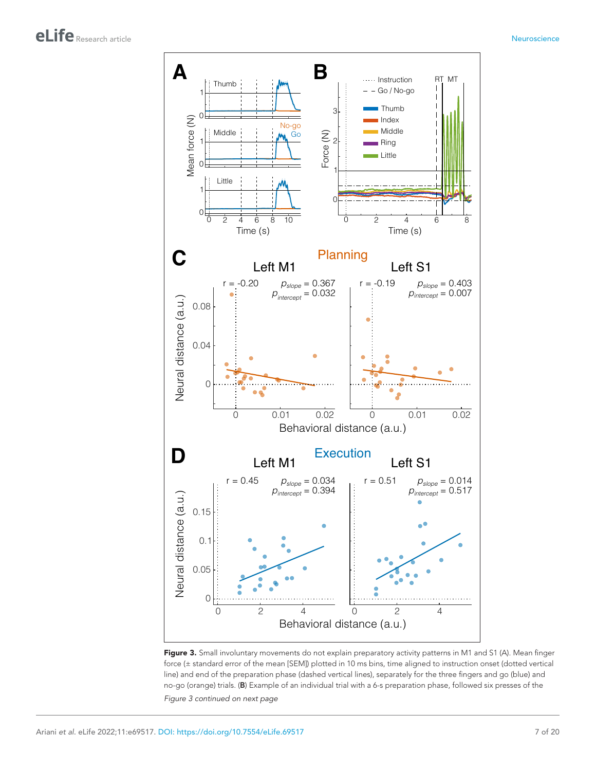

<span id="page-6-0"></span>Figure 3. Small involuntary movements do not explain preparatory activity patterns in M1 and S1 (A). Mean finger force (± standard error of the mean [SEM]) plotted in 10 ms bins, time aligned to instruction onset (dotted vertical line) and end of the preparation phase (dashed vertical lines), separately for the three fingers and go (blue) and no-go (orange) trials. (B) Example of an individual trial with a 6-s preparation phase, followed six presses of the

*Figure 3 continued on next page*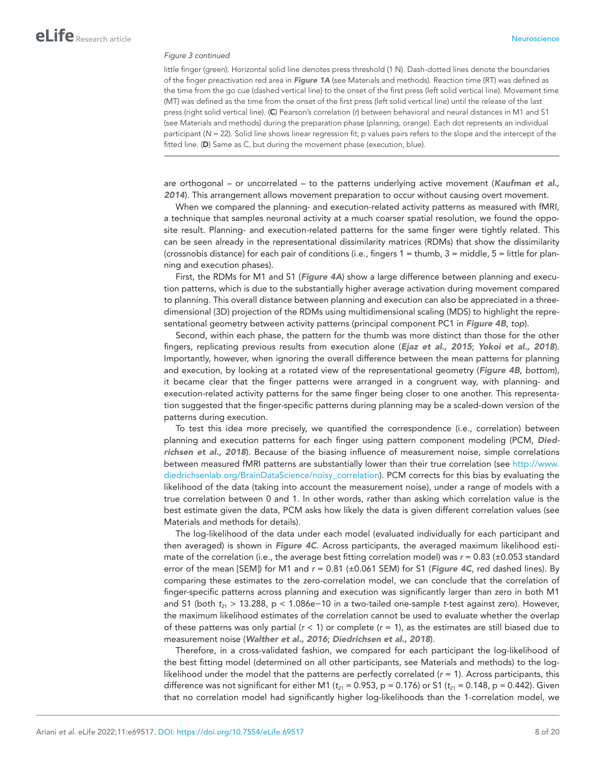#### *Figure 3 continued*

little finger (green). Horizontal solid line denotes press threshold (1 N). Dash-dotted lines denote the boundaries of the finger preactivation red area in *[Figure 1A](#page-2-0)* (see Materials and methods). Reaction time (RT) was defined as the time from the go cue (dashed vertical line) to the onset of the first press (left solid vertical line). Movement time (MT) was defined as the time from the onset of the first press (left solid vertical line) until the release of the last press (right solid vertical line). (C) Pearson's correlation (*r*) between behavioral and neural distances in M1 and S1 (see Materials and methods) during the preparation phase (planning, orange). Each dot represents an individual participant (N = 22). Solid line shows linear regression fit; p values pairs refers to the slope and the intercept of the fitted line. (D) Same as C, but during the movement phase (execution, blue).

are orthogonal – or uncorrelated – to the patterns underlying active movement (*[Kaufman et al.,](#page-18-14) [2014](#page-18-14)*). This arrangement allows movement preparation to occur without causing overt movement.

When we compared the planning- and execution-related activity patterns as measured with fMRI, a technique that samples neuronal activity at a much coarser spatial resolution, we found the opposite result. Planning- and execution-related patterns for the same finger were tightly related. This can be seen already in the representational dissimilarity matrices (RDMs) that show the dissimilarity (crossnobis distance) for each pair of conditions (i.e., fingers 1 = thumb, 3 = middle, 5 = little for planning and execution phases).

First, the RDMs for M1 and S1 (*[Figure 4A](#page-8-0)*) show a large difference between planning and execution patterns, which is due to the substantially higher average activation during movement compared to planning. This overall distance between planning and execution can also be appreciated in a threedimensional (3D) projection of the RDMs using multidimensional scaling (MDS) to highlight the representational geometry between activity patterns (principal component PC1 in *[Figure 4B](#page-8-0)*, *top*).

Second, within each phase, the pattern for the thumb was more distinct than those for the other fingers, replicating previous results from execution alone (*[Ejaz et al., 2015](#page-17-12)*; *[Yokoi et al., 2018](#page-19-5)*). Importantly, however, when ignoring the overall difference between the mean patterns for planning and execution, by looking at a rotated view of the representational geometry (*[Figure 4B](#page-8-0)*, *bottom*), it became clear that the finger patterns were arranged in a congruent way, with planning- and execution-related activity patterns for the same finger being closer to one another. This representation suggested that the finger-specific patterns during planning may be a scaled-down version of the patterns during execution.

To test this idea more precisely, we quantified the correspondence (i.e., correlation) between planning and execution patterns for each finger using pattern component modeling (PCM, *[Died](#page-17-13)[richsen et al., 2018](#page-17-13)*). Because of the biasing influence of measurement noise, simple correlations between measured fMRI patterns are substantially lower than their true correlation (see [http://www.](http://www.diedrichsenlab.org/BrainDataScience/noisy_correlation) [diedrichsenlab.org/BrainDataScience/noisy\\_correlation\)](http://www.diedrichsenlab.org/BrainDataScience/noisy_correlation). PCM corrects for this bias by evaluating the likelihood of the data (taking into account the measurement noise), under a range of models with a true correlation between 0 and 1. In other words, rather than asking which correlation value is the best estimate given the data, PCM asks how likely the data is given different correlation values (see Materials and methods for details).

The log-likelihood of the data under each model (evaluated individually for each participant and then averaged) is shown in *[Figure 4C](#page-8-0)*. Across participants, the averaged maximum likelihood estimate of the correlation (i.e., the average best fitting correlation model) was *r* = 0.83 (±0.053 standard error of the mean [SEM]) for M1 and *r* = 0.81 (±0.061 SEM) for S1 (*[Figure 4C](#page-8-0)*, red dashed lines). By comparing these estimates to the zero-correlation model, we can conclude that the correlation of finger-specific patterns across planning and execution was significantly larger than zero in both M1 and S1 (both *t*21 > 13.288, p < 1.086e−10 in a two-tailed one-sample *t*-test against zero). However, the maximum likelihood estimates of the correlation cannot be used to evaluate whether the overlap of these patterns was only partial (*r* < 1) or complete (*r* = 1), as the estimates are still biased due to measurement noise (*[Walther et al., 2016](#page-19-4)*; *[Diedrichsen et al., 2018](#page-17-13)*).

Therefore, in a cross-validated fashion, we compared for each participant the log-likelihood of the best fitting model (determined on all other participants, see Materials and methods) to the loglikelihood under the model that the patterns are perfectly correlated  $(r = 1)$ . Across participants, this difference was not significant for either M1 ( $t_{21}$  = 0.953, p = 0.176) or S1 ( $t_{21}$  = 0.148, p = 0.442). Given that no correlation model had significantly higher log-likelihoods than the 1-correlation model, we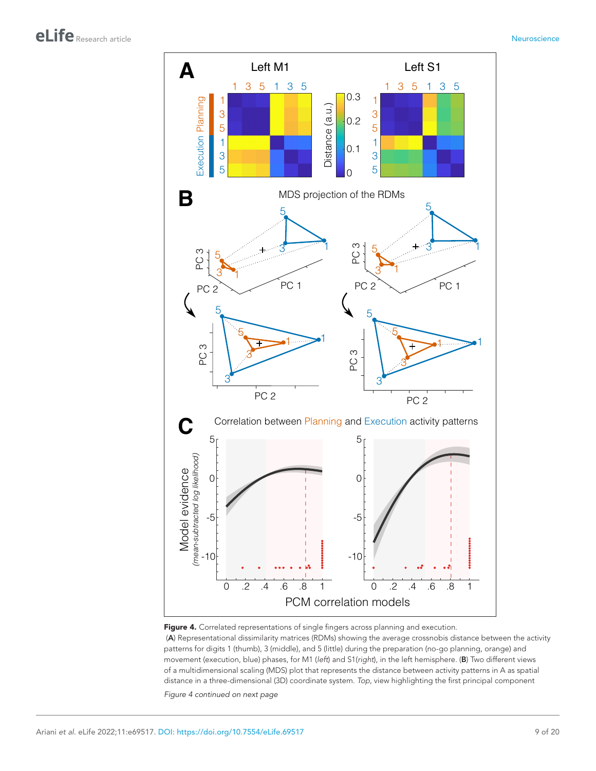

<span id="page-8-0"></span>

 (A) Representational dissimilarity matrices (RDMs) showing the average crossnobis distance between the activity patterns for digits 1 (thumb), 3 (middle), and 5 (little) during the preparation (no-go planning, orange) and movement (execution, blue) phases, for M1 (*left*) and S1(*right*), in the left hemisphere. (B) Two different views of a multidimensional scaling (MDS) plot that represents the distance between activity patterns in A as spatial distance in a three-dimensional (3D) coordinate system. *Top*, view highlighting the first principal component

*Figure 4 continued on next page*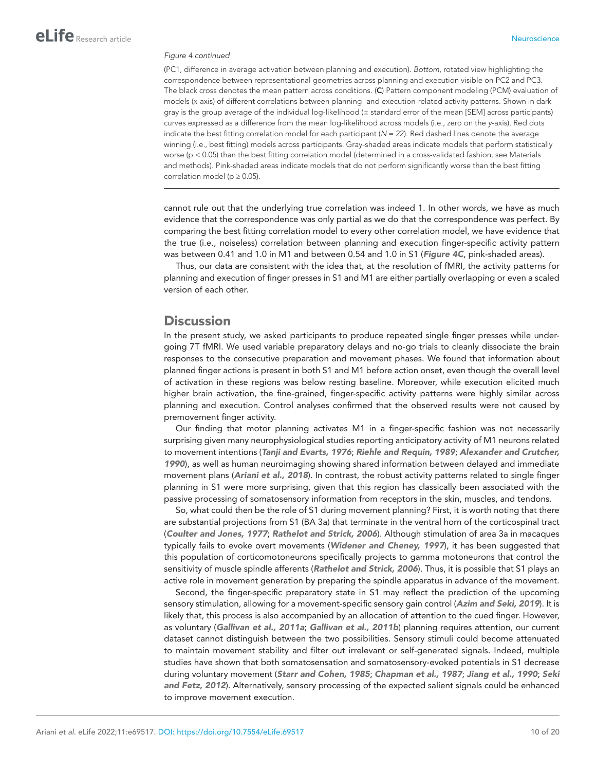#### *Figure 4 continued*

(PC1, difference in average activation between planning and execution). *Bottom*, rotated view highlighting the correspondence between representational geometries across planning and execution visible on PC2 and PC3. The black cross denotes the mean pattern across conditions. (C) Pattern component modeling (PCM) evaluation of models (*x*-axis) of different correlations between planning- and execution-related activity patterns. Shown in dark gray is the group average of the individual log-likelihood (± standard error of the mean [SEM] across participants) curves expressed as a difference from the mean log-likelihood across models (i.e., zero on the *y*-axis). Red dots indicate the best fitting correlation model for each participant (*N* = 22). Red dashed lines denote the average winning (i.e., best fitting) models across participants. Gray-shaded areas indicate models that perform statistically worse (p < 0.05) than the best fitting correlation model (determined in a cross-validated fashion, see Materials and methods). Pink-shaded areas indicate models that do not perform significantly worse than the best fitting correlation model ( $p \ge 0.05$ ).

cannot rule out that the underlying true correlation was indeed 1. In other words, we have as much evidence that the correspondence was only partial as we do that the correspondence was perfect. By comparing the best fitting correlation model to every other correlation model, we have evidence that the true (i.e., noiseless) correlation between planning and execution finger-specific activity pattern was between 0.41 and 1.0 in M1 and between 0.54 and 1.0 in S1 (*[Figure 4C](#page-8-0)*, pink-shaded areas).

Thus, our data are consistent with the idea that, at the resolution of fMRI, the activity patterns for planning and execution of finger presses in S1 and M1 are either partially overlapping or even a scaled version of each other.

# **Discussion**

In the present study, we asked participants to produce repeated single finger presses while undergoing 7T fMRI. We used variable preparatory delays and no-go trials to cleanly dissociate the brain responses to the consecutive preparation and movement phases. We found that information about planned finger actions is present in both S1 and M1 before action onset, even though the overall level of activation in these regions was below resting baseline. Moreover, while execution elicited much higher brain activation, the fine-grained, finger-specific activity patterns were highly similar across planning and execution. Control analyses confirmed that the observed results were not caused by premovement finger activity.

Our finding that motor planning activates M1 in a finger-specific fashion was not necessarily surprising given many neurophysiological studies reporting anticipatory activity of M1 neurons related to movement intentions (*[Tanji and Evarts, 1976](#page-18-8)*; *[Riehle and Requin, 1989](#page-18-15)*; *[Alexander and Crutcher,](#page-16-8)  [1990](#page-16-8)*), as well as human neuroimaging showing shared information between delayed and immediate movement plans (*[Ariani et al., 2018](#page-16-6)*). In contrast, the robust activity patterns related to single finger planning in S1 were more surprising, given that this region has classically been associated with the passive processing of somatosensory information from receptors in the skin, muscles, and tendons.

So, what could then be the role of S1 during movement planning? First, it is worth noting that there are substantial projections from S1 (BA 3a) that terminate in the ventral horn of the corticospinal tract (*[Coulter and Jones, 1977](#page-16-9)*; *[Rathelot and Strick, 2006](#page-18-16)*). Although stimulation of area 3a in macaques typically fails to evoke overt movements (*[Widener and Cheney, 1997](#page-19-6)*), it has been suggested that this population of corticomotoneurons specifically projects to gamma motoneurons that control the sensitivity of muscle spindle afferents (*[Rathelot and Strick, 2006](#page-18-16)*). Thus, it is possible that S1 plays an active role in movement generation by preparing the spindle apparatus in advance of the movement.

Second, the finger-specific preparatory state in S1 may reflect the prediction of the upcoming sensory stimulation, allowing for a movement-specific sensory gain control (*[Azim and Seki, 2019](#page-16-10)*). It is likely that, this process is also accompanied by an allocation of attention to the cued finger. However, as voluntary (*[Gallivan et al., 2011a](#page-17-8)*; *[Gallivan et al., 2011b](#page-17-6)*) planning requires attention, our current dataset cannot distinguish between the two possibilities. Sensory stimuli could become attenuated to maintain movement stability and filter out irrelevant or self-generated signals. Indeed, multiple studies have shown that both somatosensation and somatosensory-evoked potentials in S1 decrease during voluntary movement (*[Starr and Cohen, 1985](#page-18-17)*; *[Chapman et al., 1987](#page-16-11)*; *[Jiang et al., 1990](#page-18-18)*; *[Seki](#page-18-19)  [and Fetz, 2012](#page-18-19)*). Alternatively, sensory processing of the expected salient signals could be enhanced to improve movement execution.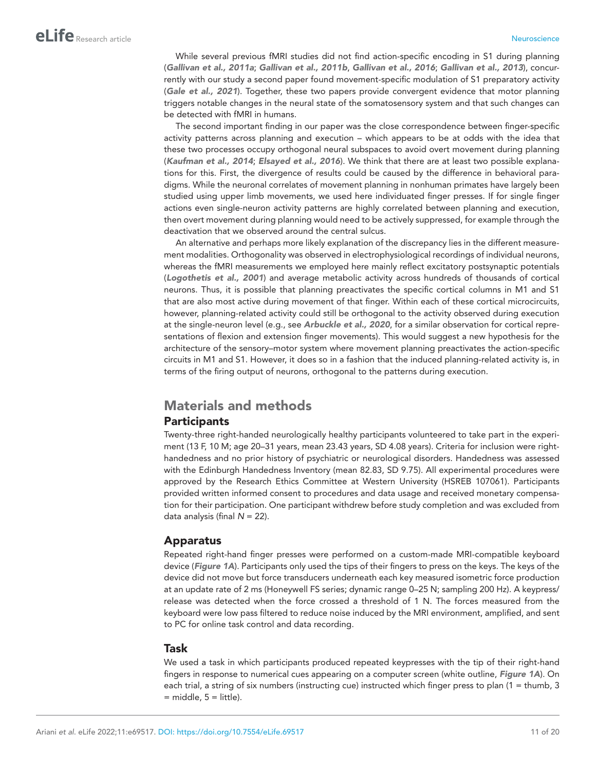While several previous fMRI studies did not find action-specific encoding in S1 during planning (*[Gallivan et al., 2011a](#page-17-8)*; *[Gallivan et al., 2011b](#page-17-6)*, *[Gallivan et al., 2016](#page-17-7)*; *[Gallivan et al., 2013](#page-17-9)*), concurrently with our study a second paper found movement-specific modulation of S1 preparatory activity (*[Gale et al., 2021](#page-17-11)*). Together, these two papers provide convergent evidence that motor planning triggers notable changes in the neural state of the somatosensory system and that such changes can be detected with fMRI in humans.

The second important finding in our paper was the close correspondence between finger-specific activity patterns across planning and execution – which appears to be at odds with the idea that these two processes occupy orthogonal neural subspaces to avoid overt movement during planning (*[Kaufman et al., 2014](#page-18-14)*; *[Elsayed et al., 2016](#page-17-14)*). We think that there are at least two possible explanations for this. First, the divergence of results could be caused by the difference in behavioral paradigms. While the neuronal correlates of movement planning in nonhuman primates have largely been studied using upper limb movements, we used here individuated finger presses. If for single finger actions even single-neuron activity patterns are highly correlated between planning and execution, then overt movement during planning would need to be actively suppressed, for example through the deactivation that we observed around the central sulcus.

An alternative and perhaps more likely explanation of the discrepancy lies in the different measurement modalities. Orthogonality was observed in electrophysiological recordings of individual neurons, whereas the fMRI measurements we employed here mainly reflect excitatory postsynaptic potentials (*[Logothetis et al., 2001](#page-18-20)*) and average metabolic activity across hundreds of thousands of cortical neurons. Thus, it is possible that planning preactivates the specific cortical columns in M1 and S1 that are also most active during movement of that finger. Within each of these cortical microcircuits, however, planning-related activity could still be orthogonal to the activity observed during execution at the single-neuron level (e.g., see *[Arbuckle et al., 2020](#page-16-7)*, for a similar observation for cortical representations of flexion and extension finger movements). This would suggest a new hypothesis for the architecture of the sensory–motor system where movement planning preactivates the action-specific circuits in M1 and S1. However, it does so in a fashion that the induced planning-related activity is, in terms of the firing output of neurons, orthogonal to the patterns during execution.

# Materials and methods **Participants**

Twenty-three right-handed neurologically healthy participants volunteered to take part in the experiment (13 F, 10 M; age 20–31 years, mean 23.43 years, SD 4.08 years). Criteria for inclusion were righthandedness and no prior history of psychiatric or neurological disorders. Handedness was assessed with the Edinburgh Handedness Inventory (mean 82.83, SD 9.75). All experimental procedures were approved by the Research Ethics Committee at Western University (HSREB 107061). Participants provided written informed consent to procedures and data usage and received monetary compensation for their participation. One participant withdrew before study completion and was excluded from data analysis (final *N* = 22).

## Apparatus

Repeated right-hand finger presses were performed on a custom-made MRI-compatible keyboard device (*[Figure 1A](#page-2-0)*). Participants only used the tips of their fingers to press on the keys. The keys of the device did not move but force transducers underneath each key measured isometric force production at an update rate of 2 ms (Honeywell FS series; dynamic range 0–25 N; sampling 200 Hz). A keypress/ release was detected when the force crossed a threshold of 1 N. The forces measured from the keyboard were low pass filtered to reduce noise induced by the MRI environment, amplified, and sent to PC for online task control and data recording.

#### Task

We used a task in which participants produced repeated keypresses with the tip of their right-hand fingers in response to numerical cues appearing on a computer screen (white outline, *[Figure 1A](#page-2-0)*). On each trial, a string of six numbers (instructing cue) instructed which finger press to plan (1 = thumb, 3  $=$  middle,  $5 =$  little).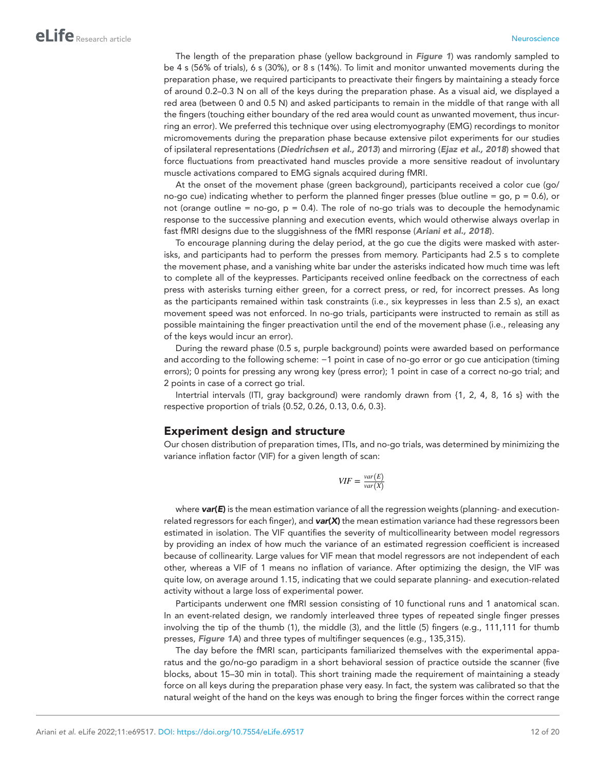The length of the preparation phase (yellow background in *[Figure 1](#page-2-0)*) was randomly sampled to be 4 s (56% of trials), 6 s (30%), or 8 s (14%). To limit and monitor unwanted movements during the preparation phase, we required participants to preactivate their fingers by maintaining a steady force of around 0.2–0.3 N on all of the keys during the preparation phase. As a visual aid, we displayed a red area (between 0 and 0.5 N) and asked participants to remain in the middle of that range with all the fingers (touching either boundary of the red area would count as unwanted movement, thus incurring an error). We preferred this technique over using electromyography (EMG) recordings to monitor micromovements during the preparation phase because extensive pilot experiments for our studies of ipsilateral representations (*[Diedrichsen et al., 2013](#page-17-15)*) and mirroring (*[Ejaz et al., 2018](#page-17-16)*) showed that force fluctuations from preactivated hand muscles provide a more sensitive readout of involuntary muscle activations compared to EMG signals acquired during fMRI.

At the onset of the movement phase (green background), participants received a color cue (go/ no-go cue) indicating whether to perform the planned finger presses (blue outline = go,  $p = 0.6$ ), or not (orange outline = no-go,  $p = 0.4$ ). The role of no-go trials was to decouple the hemodynamic response to the successive planning and execution events, which would otherwise always overlap in fast fMRI designs due to the sluggishness of the fMRI response (*[Ariani et al., 2018](#page-16-6)*).

To encourage planning during the delay period, at the go cue the digits were masked with asterisks, and participants had to perform the presses from memory. Participants had 2.5 s to complete the movement phase, and a vanishing white bar under the asterisks indicated how much time was left to complete all of the keypresses. Participants received online feedback on the correctness of each press with asterisks turning either green, for a correct press, or red, for incorrect presses. As long as the participants remained within task constraints (i.e., six keypresses in less than 2.5 s), an exact movement speed was not enforced. In no-go trials, participants were instructed to remain as still as possible maintaining the finger preactivation until the end of the movement phase (i.e., releasing any of the keys would incur an error).

During the reward phase (0.5 s, purple background) points were awarded based on performance and according to the following scheme: −1 point in case of no-go error or go cue anticipation (timing errors); 0 points for pressing any wrong key (press error); 1 point in case of a correct no-go trial; and 2 points in case of a correct go trial.

Intertrial intervals (ITI, gray background) were randomly drawn from {1, 2, 4, 8, 16 s} with the respective proportion of trials {0.52, 0.26, 0.13, 0.6, 0.3}.

#### Experiment design and structure

Our chosen distribution of preparation times, ITIs, and no-go trials, was determined by minimizing the variance inflation factor (VIF) for a given length of scan:

$$
VIF = \frac{var(E)}{var(X)}
$$

where **var(E)** is the mean estimation variance of all the regression weights (planning- and executionrelated regressors for each finger), and *var*(*X*) the mean estimation variance had these regressors been estimated in isolation. The VIF quantifies the severity of multicollinearity between model regressors by providing an index of how much the variance of an estimated regression coefficient is increased because of collinearity. Large values for VIF mean that model regressors are not independent of each other, whereas a VIF of 1 means no inflation of variance. After optimizing the design, the VIF was quite low, on average around 1.15, indicating that we could separate planning- and execution-related activity without a large loss of experimental power.

Participants underwent one fMRI session consisting of 10 functional runs and 1 anatomical scan. In an event-related design, we randomly interleaved three types of repeated single finger presses involving the tip of the thumb (1), the middle (3), and the little (5) fingers (e.g., 111,111 for thumb presses, *[Figure 1A](#page-2-0)*) and three types of multifinger sequences (e.g., 135,315).

The day before the fMRI scan, participants familiarized themselves with the experimental apparatus and the go/no-go paradigm in a short behavioral session of practice outside the scanner (five blocks, about 15–30 min in total). This short training made the requirement of maintaining a steady force on all keys during the preparation phase very easy. In fact, the system was calibrated so that the natural weight of the hand on the keys was enough to bring the finger forces within the correct range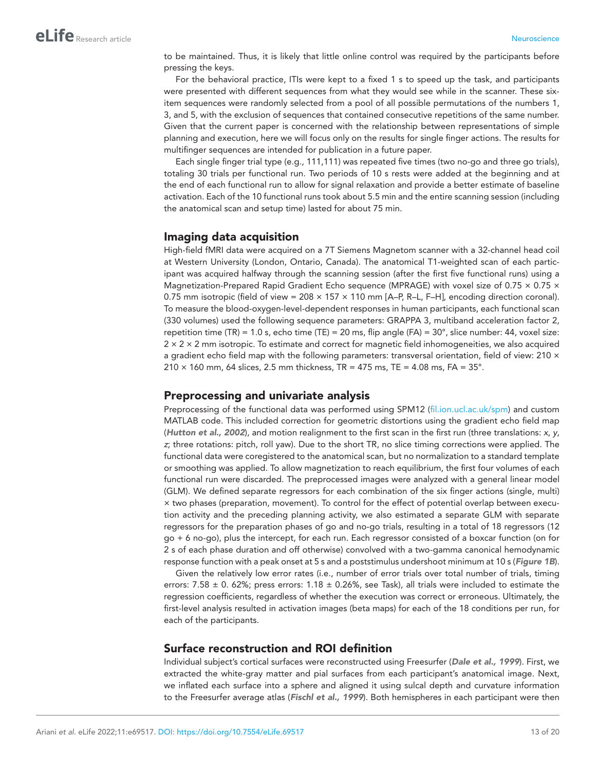to be maintained. Thus, it is likely that little online control was required by the participants before pressing the keys.

For the behavioral practice, ITIs were kept to a fixed 1 s to speed up the task, and participants were presented with different sequences from what they would see while in the scanner. These sixitem sequences were randomly selected from a pool of all possible permutations of the numbers 1, 3, and 5, with the exclusion of sequences that contained consecutive repetitions of the same number. Given that the current paper is concerned with the relationship between representations of simple planning and execution, here we will focus only on the results for single finger actions. The results for multifinger sequences are intended for publication in a future paper.

Each single finger trial type (e.g., 111,111) was repeated five times (two no-go and three go trials), totaling 30 trials per functional run. Two periods of 10 s rests were added at the beginning and at the end of each functional run to allow for signal relaxation and provide a better estimate of baseline activation. Each of the 10 functional runs took about 5.5 min and the entire scanning session (including the anatomical scan and setup time) lasted for about 75 min.

## Imaging data acquisition

High-field fMRI data were acquired on a 7T Siemens Magnetom scanner with a 32-channel head coil at Western University (London, Ontario, Canada). The anatomical T1-weighted scan of each participant was acquired halfway through the scanning session (after the first five functional runs) using a Magnetization-Prepared Rapid Gradient Echo sequence (MPRAGE) with voxel size of 0.75  $\times$  0.75  $\times$ 0.75 mm isotropic (field of view =  $208 \times 157 \times 110$  mm [A–P, R–L, F–H], encoding direction coronal). To measure the blood-oxygen-level-dependent responses in human participants, each functional scan (330 volumes) used the following sequence parameters: GRAPPA 3, multiband acceleration factor 2, repetition time (TR) = 1.0 s, echo time (TE) = 20 ms, flip angle (FA) =  $30^{\circ}$ , slice number: 44, voxel size:  $2 \times 2 \times 2$  mm isotropic. To estimate and correct for magnetic field inhomogeneities, we also acquired a gradient echo field map with the following parameters: transversal orientation, field of view: 210 ×  $210 \times 160$  mm, 64 slices, 2.5 mm thickness, TR = 475 ms, TE = 4.08 ms, FA = 35°.

#### Preprocessing and univariate analysis

Preprocessing of the functional data was performed using SPM12 [\(fil.ion.ucl.ac.uk/spm](http://fil.ion.ucl.ac.uk/spm)) and custom MATLAB code. This included correction for geometric distortions using the gradient echo field map (*[Hutton et al., 2002](#page-18-21)*), and motion realignment to the first scan in the first run (three translations: *x*, *y*, *z*; three rotations: pitch, roll yaw). Due to the short TR, no slice timing corrections were applied. The functional data were coregistered to the anatomical scan, but no normalization to a standard template or smoothing was applied. To allow magnetization to reach equilibrium, the first four volumes of each functional run were discarded. The preprocessed images were analyzed with a general linear model (GLM). We defined separate regressors for each combination of the six finger actions (single, multi) × two phases (preparation, movement). To control for the effect of potential overlap between execution activity and the preceding planning activity, we also estimated a separate GLM with separate regressors for the preparation phases of go and no-go trials, resulting in a total of 18 regressors (12 go + 6 no-go), plus the intercept, for each run. Each regressor consisted of a boxcar function (on for 2 s of each phase duration and off otherwise) convolved with a two-gamma canonical hemodynamic response function with a peak onset at 5 s and a poststimulus undershoot minimum at 10 s (*[Figure 1B](#page-2-0)*).

Given the relatively low error rates (i.e., number of error trials over total number of trials, timing errors: 7.58  $\pm$  0. 62%; press errors: 1.18  $\pm$  0.26%, see Task), all trials were included to estimate the regression coefficients, regardless of whether the execution was correct or erroneous. Ultimately, the first-level analysis resulted in activation images (beta maps) for each of the 18 conditions per run, for each of the participants.

## Surface reconstruction and ROI definition

Individual subject's cortical surfaces were reconstructed using Freesurfer (*[Dale et al., 1999](#page-17-17)*). First, we extracted the white-gray matter and pial surfaces from each participant's anatomical image. Next, we inflated each surface into a sphere and aligned it using sulcal depth and curvature information to the Freesurfer average atlas (*[Fischl et al., 1999](#page-17-18)*). Both hemispheres in each participant were then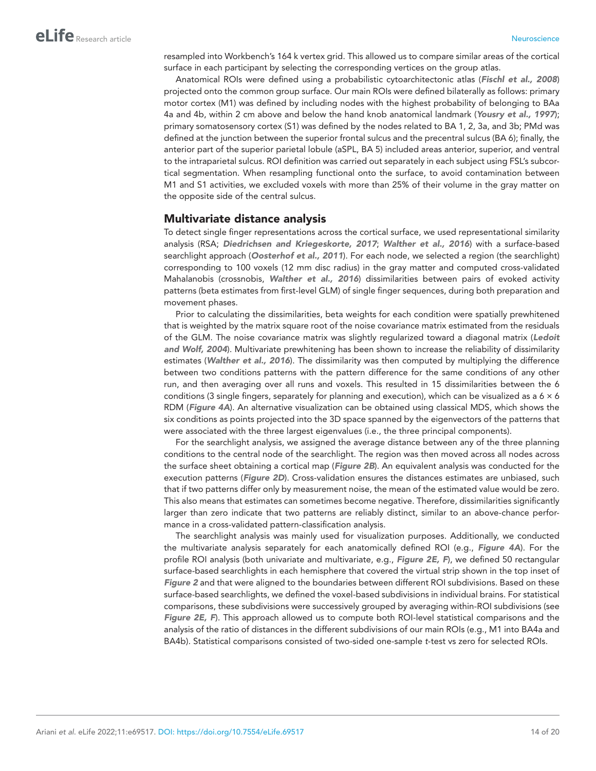resampled into Workbench's 164 k vertex grid. This allowed us to compare similar areas of the cortical surface in each participant by selecting the corresponding vertices on the group atlas.

Anatomical ROIs were defined using a probabilistic cytoarchitectonic atlas (*[Fischl et al., 2008](#page-17-19)*) projected onto the common group surface. Our main ROIs were defined bilaterally as follows: primary motor cortex (M1) was defined by including nodes with the highest probability of belonging to BAa 4a and 4b, within 2 cm above and below the hand knob anatomical landmark (*[Yousry et al., 1997](#page-19-7)*); primary somatosensory cortex (S1) was defined by the nodes related to BA 1, 2, 3a, and 3b; PMd was defined at the junction between the superior frontal sulcus and the precentral sulcus (BA 6); finally, the anterior part of the superior parietal lobule (aSPL, BA 5) included areas anterior, superior, and ventral to the intraparietal sulcus. ROI definition was carried out separately in each subject using FSL's subcortical segmentation. When resampling functional onto the surface, to avoid contamination between M1 and S1 activities, we excluded voxels with more than 25% of their volume in the gray matter on the opposite side of the central sulcus.

### Multivariate distance analysis

To detect single finger representations across the cortical surface, we used representational similarity analysis (RSA; *[Diedrichsen and Kriegeskorte, 2017](#page-17-20)*; *[Walther et al., 2016](#page-19-4)*) with a surface-based searchlight approach (*[Oosterhof et al., 2011](#page-18-22)*). For each node, we selected a region (the searchlight) corresponding to 100 voxels (12 mm disc radius) in the gray matter and computed cross-validated Mahalanobis (crossnobis, *[Walther et al., 2016](#page-19-4)*) dissimilarities between pairs of evoked activity patterns (beta estimates from first-level GLM) of single finger sequences, during both preparation and movement phases.

Prior to calculating the dissimilarities, beta weights for each condition were spatially prewhitened that is weighted by the matrix square root of the noise covariance matrix estimated from the residuals of the GLM. The noise covariance matrix was slightly regularized toward a diagonal matrix (*[Ledoit](#page-18-23) [and Wolf, 2004](#page-18-23)*). Multivariate prewhitening has been shown to increase the reliability of dissimilarity estimates (*[Walther et al., 2016](#page-19-4)*). The dissimilarity was then computed by multiplying the difference between two conditions patterns with the pattern difference for the same conditions of any other run, and then averaging over all runs and voxels. This resulted in 15 dissimilarities between the 6 conditions (3 single fingers, separately for planning and execution), which can be visualized as a  $6 \times 6$ RDM (*[Figure 4A](#page-8-0)*). An alternative visualization can be obtained using classical MDS, which shows the six conditions as points projected into the 3D space spanned by the eigenvectors of the patterns that were associated with the three largest eigenvalues (i.e., the three principal components).

For the searchlight analysis, we assigned the average distance between any of the three planning conditions to the central node of the searchlight. The region was then moved across all nodes across the surface sheet obtaining a cortical map (*[Figure 2B](#page-4-0)*). An equivalent analysis was conducted for the execution patterns (*[Figure 2D](#page-4-0)*). Cross-validation ensures the distances estimates are unbiased, such that if two patterns differ only by measurement noise, the mean of the estimated value would be zero. This also means that estimates can sometimes become negative. Therefore, dissimilarities significantly larger than zero indicate that two patterns are reliably distinct, similar to an above-chance performance in a cross-validated pattern-classification analysis.

The searchlight analysis was mainly used for visualization purposes. Additionally, we conducted the multivariate analysis separately for each anatomically defined ROI (e.g., *[Figure 4A](#page-8-0)*). For the profile ROI analysis (both univariate and multivariate, e.g., *[Figure 2E, F](#page-4-0)*), we defined 50 rectangular surface-based searchlights in each hemisphere that covered the virtual strip shown in the top inset of *[Figure 2](#page-4-0)* and that were aligned to the boundaries between different ROI subdivisions. Based on these surface-based searchlights, we defined the voxel-based subdivisions in individual brains. For statistical comparisons, these subdivisions were successively grouped by averaging within-ROI subdivisions (see *[Figure 2E, F](#page-4-0)*). This approach allowed us to compute both ROI-level statistical comparisons and the analysis of the ratio of distances in the different subdivisions of our main ROIs (e.g., M1 into BA4a and BA4b). Statistical comparisons consisted of two-sided one-sample *t*-test vs zero for selected ROIs.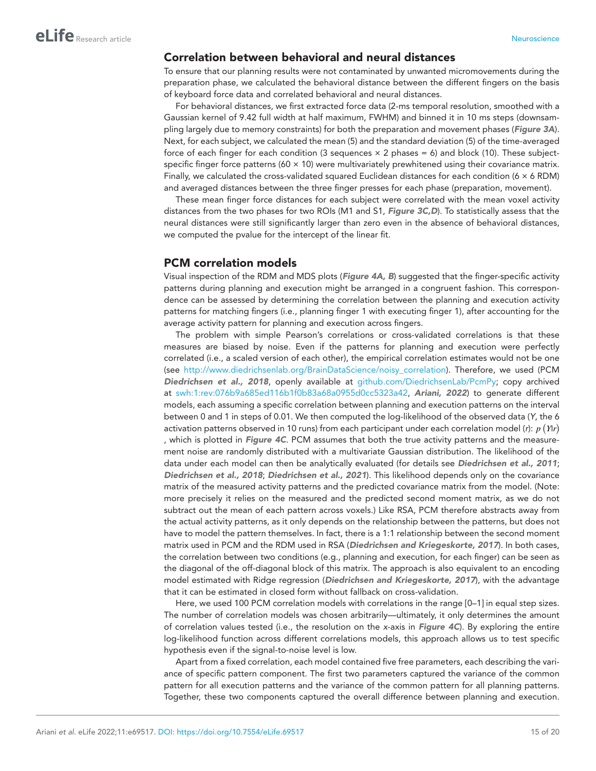## Correlation between behavioral and neural distances

To ensure that our planning results were not contaminated by unwanted micromovements during the preparation phase, we calculated the behavioral distance between the different fingers on the basis of keyboard force data and correlated behavioral and neural distances.

For behavioral distances, we first extracted force data (2-ms temporal resolution, smoothed with a Gaussian kernel of 9.42 full width at half maximum, FWHM) and binned it in 10 ms steps (downsampling largely due to memory constraints) for both the preparation and movement phases (*[Figure 3A](#page-6-0)*). Next, for each subject, we calculated the mean (5) and the standard deviation (5) of the time-averaged force of each finger for each condition (3 sequences  $\times$  2 phases = 6) and block (10). These subjectspecific finger force patterns (60  $\times$  10) were multivariately prewhitened using their covariance matrix. Finally, we calculated the cross-validated squared Euclidean distances for each condition (6 × 6 RDM) and averaged distances between the three finger presses for each phase (preparation, movement).

These mean finger force distances for each subject were correlated with the mean voxel activity distances from the two phases for two ROIs (M1 and S1, *[Figure 3C,D](#page-6-0)*). To statistically assess that the neural distances were still significantly larger than zero even in the absence of behavioral distances, we computed the pvalue for the intercept of the linear fit.

### PCM correlation models

Visual inspection of the RDM and MDS plots (*[Figure 4A, B](#page-8-0)*) suggested that the finger-specific activity patterns during planning and execution might be arranged in a congruent fashion. This correspondence can be assessed by determining the correlation between the planning and execution activity patterns for matching fingers (i.e., planning finger 1 with executing finger 1), after accounting for the average activity pattern for planning and execution across fingers.

The problem with simple Pearson's correlations or cross-validated correlations is that these measures are biased by noise. Even if the patterns for planning and execution were perfectly correlated (i.e., a scaled version of each other), the empirical correlation estimates would not be one (see [http://www.diedrichsenlab.org/BrainDataScience/noisy\\_correlation](http://www.diedrichsenlab.org/BrainDataScience/noisy_correlation)). Therefore, we used (PCM *[Diedrichsen et al., 2018](#page-17-13)*, openly available at [github.com/DiedrichsenLab/PcmPy;](http://github.com/DiedrichsenLab/PcmPy) copy archived at [swh:1:rev:076b9a685ed116b1f0b83a68a0955d0cc5323a42,](https://archive.softwareheritage.org/swh:1:dir:efd5abc2fee8f926a4cf781bea11fda2eada9efa;origin=https://github.com/g14r/single-finger-planning;visit=swh:1:snp:4cd06438b2697f030ac456034ccfac31601590fc;anchor=swh:1:rev:076b9a685ed116b1f0b83a68a0955d0cc5323a42) *[Ariani, 2022](#page-16-12)*) to generate different models, each assuming a specific correlation between planning and execution patterns on the interval between 0 and 1 in steps of 0.01. We then computed the log-likelihood of the observed data (*Y*, the 6 activation patterns observed in 10 runs) from each participant under each correlation model (*r*): *p* (*Y*|*r*) , which is plotted in *[Figure 4C](#page-8-0)*. PCM assumes that both the true activity patterns and the measurement noise are randomly distributed with a multivariate Gaussian distribution. The likelihood of the data under each model can then be analytically evaluated (for details see *[Diedrichsen et al., 2011](#page-17-21)*; *[Diedrichsen et al., 2018](#page-17-13)*; *[Diedrichsen et al., 2021](#page-17-22)*). This likelihood depends only on the covariance matrix of the measured activity patterns and the predicted covariance matrix from the model. (Note: more precisely it relies on the measured and the predicted second moment matrix, as we do not subtract out the mean of each pattern across voxels.) Like RSA, PCM therefore abstracts away from the actual activity patterns, as it only depends on the relationship between the patterns, but does not have to model the pattern themselves. In fact, there is a 1:1 relationship between the second moment matrix used in PCM and the RDM used in RSA (*[Diedrichsen and Kriegeskorte, 2017](#page-17-20)*). In both cases, the correlation between two conditions (e.g., planning and execution, for each finger) can be seen as the diagonal of the off-diagonal block of this matrix. The approach is also equivalent to an encoding model estimated with Ridge regression (*[Diedrichsen and Kriegeskorte, 2017](#page-17-20)*), with the advantage that it can be estimated in closed form without fallback on cross-validation.

Here, we used 100 PCM correlation models with correlations in the range [0–1] in equal step sizes. The number of correlation models was chosen arbitrarily—ultimately, it only determines the amount of correlation values tested (i.e., the resolution on the *x*-axis in *[Figure 4C](#page-8-0)*). By exploring the entire log-likelihood function across different correlations models, this approach allows us to test specific hypothesis even if the signal-to-noise level is low.

Apart from a fixed correlation, each model contained five free parameters, each describing the variance of specific pattern component. The first two parameters captured the variance of the common pattern for all execution patterns and the variance of the common pattern for all planning patterns. Together, these two components captured the overall difference between planning and execution.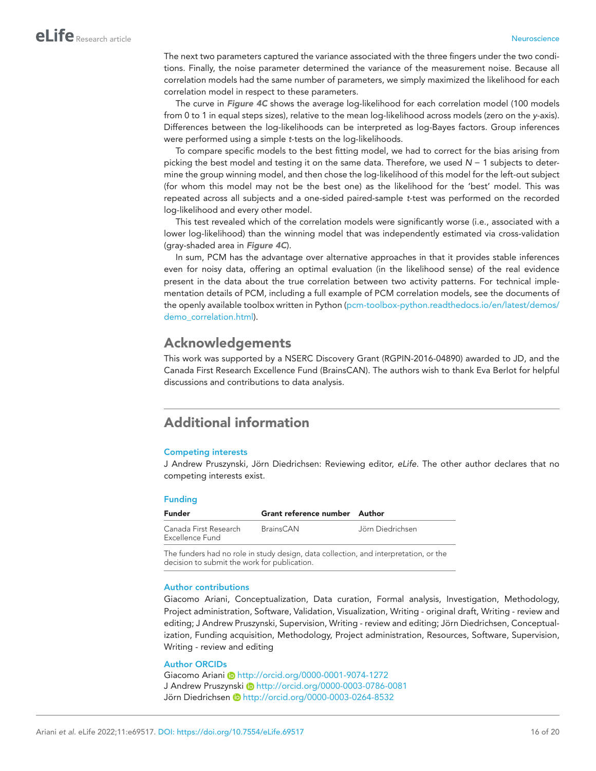The next two parameters captured the variance associated with the three fingers under the two conditions. Finally, the noise parameter determined the variance of the measurement noise. Because all correlation models had the same number of parameters, we simply maximized the likelihood for each correlation model in respect to these parameters.

The curve in *[Figure 4C](#page-8-0)* shows the average log-likelihood for each correlation model (100 models from 0 to 1 in equal steps sizes), relative to the mean log-likelihood across models (zero on the *y*-axis). Differences between the log-likelihoods can be interpreted as log-Bayes factors. Group inferences were performed using a simple *t*-tests on the log-likelihoods.

To compare specific models to the best fitting model, we had to correct for the bias arising from picking the best model and testing it on the same data. Therefore, we used *N* − 1 subjects to determine the group winning model, and then chose the log-likelihood of this model for the left-out subject (for whom this model may not be the best one) as the likelihood for the 'best' model. This was repeated across all subjects and a one-sided paired-sample *t*-test was performed on the recorded log-likelihood and every other model.

This test revealed which of the correlation models were significantly worse (i.e., associated with a lower log-likelihood) than the winning model that was independently estimated via cross-validation (gray-shaded area in *[Figure 4C](#page-8-0)*).

In sum, PCM has the advantage over alternative approaches in that it provides stable inferences even for noisy data, offering an optimal evaluation (in the likelihood sense) of the real evidence present in the data about the true correlation between two activity patterns. For technical implementation details of PCM, including a full example of PCM correlation models, see the documents of the openly available toolbox written in Python [\(pcm-toolbox-python.readthedocs.io/en/latest/demos/](https://pcm-toolbox-python.readthedocs.io/en/latest/demos/demo_correlation.html) [demo\\_correlation.html](https://pcm-toolbox-python.readthedocs.io/en/latest/demos/demo_correlation.html)).

# Acknowledgements

This work was supported by a NSERC Discovery Grant (RGPIN-2016-04890) awarded to JD, and the Canada First Research Excellence Fund (BrainsCAN). The authors wish to thank Eva Berlot for helpful discussions and contributions to data analysis.

# Additional information

#### <span id="page-15-0"></span>Competing interests

J Andrew Pruszynski, Jörn Diedrichsen: Reviewing editor, *eLife*. The other author declares that no competing interests exist.

#### <span id="page-15-1"></span>Funding

| <b>Funder</b>                            | Grant reference number Author |                  |
|------------------------------------------|-------------------------------|------------------|
| Canada First Research<br>Excellence Fund | BrainsCAN                     | Jörn Diedrichsen |

The funders had no role in study design, data collection, and interpretation, or the decision to submit the work for publication.

#### Author contributions

Giacomo Ariani, Conceptualization, Data curation, Formal analysis, Investigation, Methodology, Project administration, Software, Validation, Visualization, Writing - original draft, Writing - review and editing; J Andrew Pruszynski, Supervision, Writing - review and editing; Jörn Diedrichsen, Conceptualization, Funding acquisition, Methodology, Project administration, Resources, Software, Supervision, Writing - review and editing

#### Author ORCIDs

Giacomo Ariani i <http://orcid.org/0000-0001-9074-1272> J Andrew Pruszynski D <http://orcid.org/0000-0003-0786-0081> Jörn Diedrichsen i <http://orcid.org/0000-0003-0264-8532>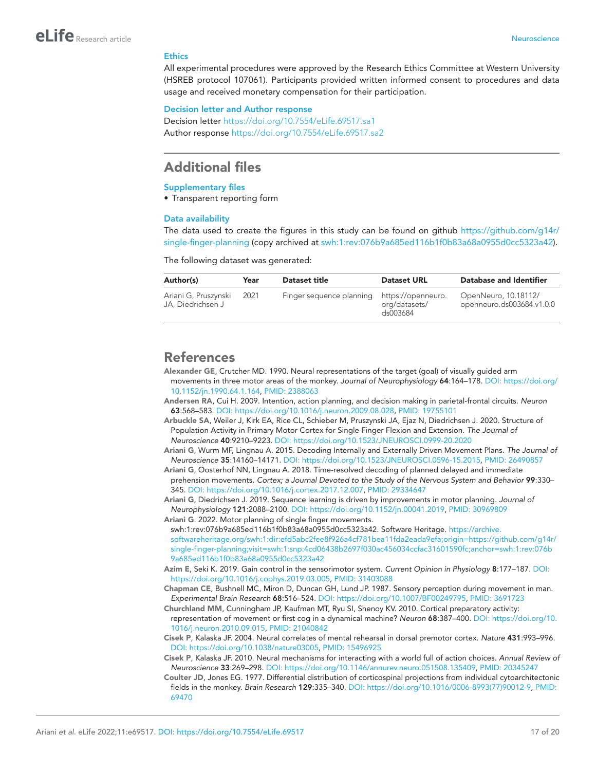#### **Ethics**

All experimental procedures were approved by the Research Ethics Committee at Western University (HSREB protocol 107061). Participants provided written informed consent to procedures and data usage and received monetary compensation for their participation.

#### Decision letter and Author response

Decision letter <https://doi.org/10.7554/eLife.69517.sa1> Author response <https://doi.org/10.7554/eLife.69517.sa2>

# Additional files

#### Supplementary files

• Transparent reporting form

#### Data availability

The data used to create the figures in this study can be found on github [https://github.com/g14r/](https://github.com/g14r/single-finger-planning) [single-finger-planning](https://github.com/g14r/single-finger-planning) (copy archived at [swh:1:rev:076b9a685ed116b1f0b83a68a0955d0cc5323a42](https://archive.softwareheritage.org/swh:1:dir:efd5abc2fee8f926a4cf781bea11fda2eada9efa;origin=https://github.com/g14r/single-finger-planning;visit=swh:1:snp:4cd06438b2697f030ac456034ccfac31601590fc;anchor=swh:1:rev:076b9a685ed116b1f0b83a68a0955d0cc5323a42)).

The following dataset was generated:

| Author(s)                                 | Year | <b>Dataset title</b>                        | <b>Dataset URL</b>        | Database and Identifier                           |
|-------------------------------------------|------|---------------------------------------------|---------------------------|---------------------------------------------------|
| Ariani G, Pruszynski<br>JA. Diedrichsen J | 2021 | Finger sequence planning https://openneuro. | org/datasets/<br>ds003684 | OpenNeuro, 10.18112/<br>openneuro.ds003684.v1.0.0 |

# References

- <span id="page-16-8"></span>Alexander GE, Crutcher MD. 1990. Neural representations of the target (goal) of visually guided arm movements in three motor areas of the monkey. *Journal of Neurophysiology* 64:164–178. DOI: [https://doi.org/](https://doi.org/10.1152/jn.1990.64.1.164) [10.1152/jn.1990.64.1.164](https://doi.org/10.1152/jn.1990.64.1.164), PMID: [2388063](http://www.ncbi.nlm.nih.gov/pubmed/2388063)
- <span id="page-16-3"></span>Andersen RA, Cui H. 2009. Intention, action planning, and decision making in parietal-frontal circuits. *Neuron* 63:568–583. DOI: [https://doi.org/10.1016/j.neuron.2009.08.028,](https://doi.org/10.1016/j.neuron.2009.08.028) PMID: [19755101](http://www.ncbi.nlm.nih.gov/pubmed/19755101)
- <span id="page-16-7"></span>Arbuckle SA, Weiler J, Kirk EA, Rice CL, Schieber M, Pruszynski JA, Ejaz N, Diedrichsen J. 2020. Structure of Population Activity in Primary Motor Cortex for Single Finger Flexion and Extension. *The Journal of Neuroscience* 40:9210–9223. DOI: <https://doi.org/10.1523/JNEUROSCI.0999-20.2020>
- <span id="page-16-4"></span>Ariani G, Wurm MF, Lingnau A. 2015. Decoding Internally and Externally Driven Movement Plans. *The Journal of Neuroscience* 35:14160–14171. DOI: [https://doi.org/10.1523/JNEUROSCI.0596-15.2015,](https://doi.org/10.1523/JNEUROSCI.0596-15.2015) PMID: [26490857](http://www.ncbi.nlm.nih.gov/pubmed/26490857)
- <span id="page-16-6"></span>Ariani G, Oosterhof NN, Lingnau A. 2018. Time-resolved decoding of planned delayed and immediate prehension movements. *Cortex; a Journal Devoted to the Study of the Nervous System and Behavior* 99:330– 345. DOI:<https://doi.org/10.1016/j.cortex.2017.12.007>, PMID: [29334647](http://www.ncbi.nlm.nih.gov/pubmed/29334647)

<span id="page-16-0"></span>Ariani G, Diedrichsen J. 2019. Sequence learning is driven by improvements in motor planning. *Journal of Neurophysiology* 121:2088–2100. DOI: [https://doi.org/10.1152/jn.00041.2019,](https://doi.org/10.1152/jn.00041.2019) PMID: [30969809](http://www.ncbi.nlm.nih.gov/pubmed/30969809) Ariani G. 2022. Motor planning of single finger movements.

- <span id="page-16-12"></span>swh:1:rev:076b9a685ed116b1f0b83a68a0955d0cc5323a42. Software Heritage. [https://archive.](https://archive.softwareheritage.org/swh:1:dir:efd5abc2fee8f926a4cf781bea11fda2eada9efa;origin=https://github.com/g14r/single-finger-planning;visit=swh:1:snp:4cd06438b2697f030ac456034ccfac31601590fc;anchor=swh:1:rev:076b9a685ed116b1f0b83a68a0955d0cc5323a42) [softwareheritage.org/swh:1:dir:efd5abc2fee8f926a4cf781bea11fda2eada9efa;origin=https://github.com/g14r/](https://archive.softwareheritage.org/swh:1:dir:efd5abc2fee8f926a4cf781bea11fda2eada9efa;origin=https://github.com/g14r/single-finger-planning;visit=swh:1:snp:4cd06438b2697f030ac456034ccfac31601590fc;anchor=swh:1:rev:076b9a685ed116b1f0b83a68a0955d0cc5323a42) [single-finger-planning;visit=swh:1:snp:4cd06438b2697f030ac456034ccfac31601590fc;anchor=swh:1:rev:076b](https://archive.softwareheritage.org/swh:1:dir:efd5abc2fee8f926a4cf781bea11fda2eada9efa;origin=https://github.com/g14r/single-finger-planning;visit=swh:1:snp:4cd06438b2697f030ac456034ccfac31601590fc;anchor=swh:1:rev:076b9a685ed116b1f0b83a68a0955d0cc5323a42) [9a685ed116b1f0b83a68a0955d0cc5323a42](https://archive.softwareheritage.org/swh:1:dir:efd5abc2fee8f926a4cf781bea11fda2eada9efa;origin=https://github.com/g14r/single-finger-planning;visit=swh:1:snp:4cd06438b2697f030ac456034ccfac31601590fc;anchor=swh:1:rev:076b9a685ed116b1f0b83a68a0955d0cc5323a42)
- <span id="page-16-10"></span>Azim E, Seki K. 2019. Gain control in the sensorimotor system. *Current Opinion in Physiology* 8:177–187. DOI: <https://doi.org/10.1016/j.cophys.2019.03.005>, PMID: [31403088](http://www.ncbi.nlm.nih.gov/pubmed/31403088)
- <span id="page-16-11"></span>Chapman CE, Bushnell MC, Miron D, Duncan GH, Lund JP. 1987. Sensory perception during movement in man. *Experimental Brain Research* 68:516–524. DOI: [https://doi.org/10.1007/BF00249795,](https://doi.org/10.1007/BF00249795) PMID: [3691723](http://www.ncbi.nlm.nih.gov/pubmed/3691723)
- <span id="page-16-5"></span>Churchland MM, Cunningham JP, Kaufman MT, Ryu SI, Shenoy KV. 2010. Cortical preparatory activity: representation of movement or first cog in a dynamical machine? *Neuron* 68:387–400. DOI: [https://doi.org/10.](https://doi.org/10.1016/j.neuron.2010.09.015) [1016/j.neuron.2010.09.015](https://doi.org/10.1016/j.neuron.2010.09.015), PMID: [21040842](http://www.ncbi.nlm.nih.gov/pubmed/21040842)
- <span id="page-16-1"></span>Cisek P, Kalaska JF. 2004. Neural correlates of mental rehearsal in dorsal premotor cortex. *Nature* 431:993–996. DOI: <https://doi.org/10.1038/nature03005>, PMID: [15496925](http://www.ncbi.nlm.nih.gov/pubmed/15496925)
- <span id="page-16-2"></span>Cisek P, Kalaska JF. 2010. Neural mechanisms for interacting with a world full of action choices. *Annual Review of Neuroscience* 33:269–298. DOI: [https://doi.org/10.1146/annurev.neuro.051508.135409,](https://doi.org/10.1146/annurev.neuro.051508.135409) PMID: [20345247](http://www.ncbi.nlm.nih.gov/pubmed/20345247)
- <span id="page-16-9"></span>Coulter JD, Jones EG. 1977. Differential distribution of corticospinal projections from individual cytoarchitectonic fields in the monkey. *Brain Research* 129:335–340. DOI: [https://doi.org/10.1016/0006-8993\(77\)90012-9,](https://doi.org/10.1016/0006-8993(77)90012-9) PMID: [69470](http://www.ncbi.nlm.nih.gov/pubmed/69470)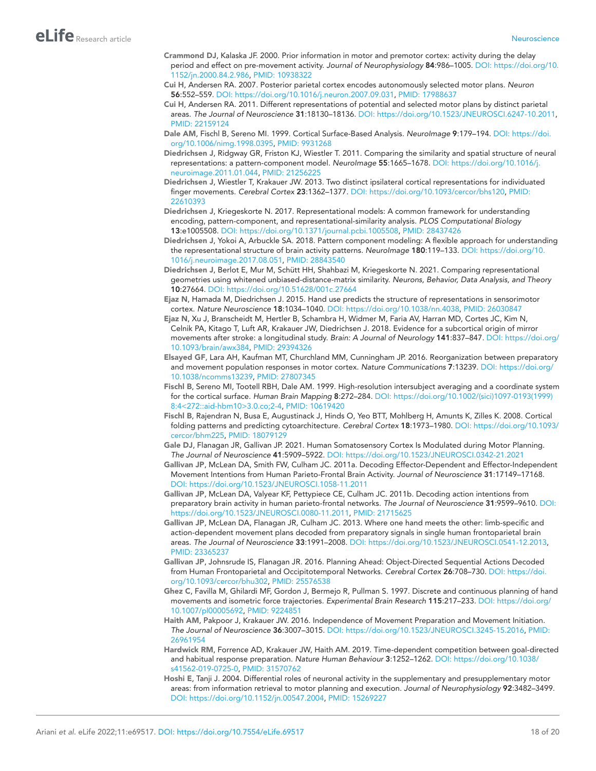- <span id="page-17-10"></span>Crammond DJ, Kalaska JF. 2000. Prior information in motor and premotor cortex: activity during the delay period and effect on pre-movement activity. *Journal of Neurophysiology* 84:986–1005. DOI: [https://doi.org/10.](https://doi.org/10.1152/jn.2000.84.2.986) [1152/jn.2000.84.2.986](https://doi.org/10.1152/jn.2000.84.2.986), PMID: [10938322](http://www.ncbi.nlm.nih.gov/pubmed/10938322)
- <span id="page-17-4"></span>Cui H, Andersen RA. 2007. Posterior parietal cortex encodes autonomously selected motor plans. *Neuron* 56:552–559. DOI: [https://doi.org/10.1016/j.neuron.2007.09.031,](https://doi.org/10.1016/j.neuron.2007.09.031) PMID: [17988637](http://www.ncbi.nlm.nih.gov/pubmed/17988637)
- <span id="page-17-5"></span>Cui H, Andersen RA. 2011. Different representations of potential and selected motor plans by distinct parietal areas. *The Journal of Neuroscience* 31:18130–18136. DOI: [https://doi.org/10.1523/JNEUROSCI.6247-10.2011,](https://doi.org/10.1523/JNEUROSCI.6247-10.2011) PMID: [22159124](http://www.ncbi.nlm.nih.gov/pubmed/22159124)
- <span id="page-17-17"></span>Dale AM, Fischl B, Sereno MI. 1999. Cortical Surface-Based Analysis. *NeuroImage* 9:179–194. DOI: [https://doi.](https://doi.org/10.1006/nimg.1998.0395) [org/10.1006/nimg.1998.0395,](https://doi.org/10.1006/nimg.1998.0395) PMID: [9931268](http://www.ncbi.nlm.nih.gov/pubmed/9931268)
- <span id="page-17-21"></span>Diedrichsen J, Ridgway GR, Friston KJ, Wiestler T. 2011. Comparing the similarity and spatial structure of neural representations: a pattern-component model. *NeuroImage* 55:1665–1678. DOI: [https://doi.org/10.1016/j.](https://doi.org/10.1016/j.neuroimage.2011.01.044) [neuroimage.2011.01.044](https://doi.org/10.1016/j.neuroimage.2011.01.044), PMID: [21256225](http://www.ncbi.nlm.nih.gov/pubmed/21256225)
- <span id="page-17-15"></span>Diedrichsen J, Wiestler T, Krakauer JW. 2013. Two distinct ipsilateral cortical representations for individuated finger movements. *Cerebral Cortex* 23:1362–1377. DOI: [https://doi.org/10.1093/cercor/bhs120,](https://doi.org/10.1093/cercor/bhs120) PMID: [22610393](http://www.ncbi.nlm.nih.gov/pubmed/22610393)
- <span id="page-17-20"></span>Diedrichsen J, Kriegeskorte N. 2017. Representational models: A common framework for understanding encoding, pattern-component, and representational-similarity analysis. *PLOS Computational Biology* 13:e1005508. DOI:<https://doi.org/10.1371/journal.pcbi.1005508>, PMID: [28437426](http://www.ncbi.nlm.nih.gov/pubmed/28437426)
- <span id="page-17-13"></span>Diedrichsen J, Yokoi A, Arbuckle SA. 2018. Pattern component modeling: A flexible approach for understanding the representational structure of brain activity patterns. *NeuroImage* 180:119–133. DOI: [https://doi.org/10.](https://doi.org/10.1016/j.neuroimage.2017.08.051) [1016/j.neuroimage.2017.08.051](https://doi.org/10.1016/j.neuroimage.2017.08.051), PMID: [28843540](http://www.ncbi.nlm.nih.gov/pubmed/28843540)
- <span id="page-17-22"></span>Diedrichsen J, Berlot E, Mur M, Schütt HH, Shahbazi M, Kriegeskorte N. 2021. Comparing representational geometries using whitened unbiased-distance-matrix similarity. *Neurons, Behavior, Data Analysis, and Theory* 10:27664. DOI:<https://doi.org/10.51628/001c.27664>
- <span id="page-17-12"></span>Ejaz N, Hamada M, Diedrichsen J. 2015. Hand use predicts the structure of representations in sensorimotor cortex. *Nature Neuroscience* 18:1034–1040. DOI: <https://doi.org/10.1038/nn.4038>, PMID: [26030847](http://www.ncbi.nlm.nih.gov/pubmed/26030847)
- <span id="page-17-16"></span>Ejaz N, Xu J, Branscheidt M, Hertler B, Schambra H, Widmer M, Faria AV, Harran MD, Cortes JC, Kim N, Celnik PA, Kitago T, Luft AR, Krakauer JW, Diedrichsen J. 2018. Evidence for a subcortical origin of mirror movements after stroke: a longitudinal study. *Brain: A Journal of Neurology* 141:837–847. DOI: [https://doi.org/](https://doi.org/10.1093/brain/awx384) [10.1093/brain/awx384](https://doi.org/10.1093/brain/awx384), PMID: [29394326](http://www.ncbi.nlm.nih.gov/pubmed/29394326)
- <span id="page-17-14"></span>Elsayed GF, Lara AH, Kaufman MT, Churchland MM, Cunningham JP. 2016. Reorganization between preparatory and movement population responses in motor cortex. *Nature Communications* 7:13239. DOI: [https://doi.org/](https://doi.org/10.1038/ncomms13239) [10.1038/ncomms13239,](https://doi.org/10.1038/ncomms13239) PMID: [27807345](http://www.ncbi.nlm.nih.gov/pubmed/27807345)
- <span id="page-17-18"></span>Fischl B, Sereno MI, Tootell RBH, Dale AM. 1999. High-resolution intersubject averaging and a coordinate system for the cortical surface. *Human Brain Mapping* 8:272–284. DOI: [https://doi.org/10.1002/\(sici\)1097-0193\(1999\)](https://doi.org/10.1002/(sici)1097-0193(1999)8:4<272::aid-hbm10>3.0.co;2-4) [8:4<272::aid-hbm10>3.0.co;2-4,](https://doi.org/10.1002/(sici)1097-0193(1999)8:4<272::aid-hbm10>3.0.co;2-4) PMID: [10619420](http://www.ncbi.nlm.nih.gov/pubmed/10619420)
- <span id="page-17-19"></span>Fischl B, Rajendran N, Busa E, Augustinack J, Hinds O, Yeo BTT, Mohlberg H, Amunts K, Zilles K. 2008. Cortical folding patterns and predicting cytoarchitecture. *Cerebral Cortex* 18:1973–1980. DOI: [https://doi.org/10.1093/](https://doi.org/10.1093/cercor/bhm225) [cercor/bhm225](https://doi.org/10.1093/cercor/bhm225), PMID: [18079129](http://www.ncbi.nlm.nih.gov/pubmed/18079129)
- <span id="page-17-11"></span>Gale DJ, Flanagan JR, Gallivan JP. 2021. Human Somatosensory Cortex Is Modulated during Motor Planning. *The Journal of Neuroscience* 41:5909–5922. DOI:<https://doi.org/10.1523/JNEUROSCI.0342-21.2021>
- <span id="page-17-8"></span>Gallivan JP, McLean DA, Smith FW, Culham JC. 2011a. Decoding Effector-Dependent and Effector-Independent Movement Intentions from Human Parieto-Frontal Brain Activity. *Journal of Neuroscience* 31:17149–17168. DOI: <https://doi.org/10.1523/JNEUROSCI.1058-11.2011>
- <span id="page-17-6"></span>Gallivan JP, McLean DA, Valyear KF, Pettypiece CE, Culham JC. 2011b. Decoding action intentions from preparatory brain activity in human parieto-frontal networks. *The Journal of Neuroscience* 31:9599–9610. DOI: [https://doi.org/10.1523/JNEUROSCI.0080-11.2011,](https://doi.org/10.1523/JNEUROSCI.0080-11.2011) PMID: [21715625](http://www.ncbi.nlm.nih.gov/pubmed/21715625)
- <span id="page-17-9"></span>Gallivan JP, McLean DA, Flanagan JR, Culham JC. 2013. Where one hand meets the other: limb-specific and action-dependent movement plans decoded from preparatory signals in single human frontoparietal brain areas. *The Journal of Neuroscience* 33:1991–2008. DOI: [https://doi.org/10.1523/JNEUROSCI.0541-12.2013,](https://doi.org/10.1523/JNEUROSCI.0541-12.2013) PMID: [23365237](http://www.ncbi.nlm.nih.gov/pubmed/23365237)
- <span id="page-17-7"></span>Gallivan JP, Johnsrude IS, Flanagan JR. 2016. Planning Ahead: Object-Directed Sequential Actions Decoded from Human Frontoparietal and Occipitotemporal Networks. *Cerebral Cortex* 26:708–730. DOI: [https://doi.](https://doi.org/10.1093/cercor/bhu302) [org/10.1093/cercor/bhu302](https://doi.org/10.1093/cercor/bhu302), PMID: [25576538](http://www.ncbi.nlm.nih.gov/pubmed/25576538)
- <span id="page-17-1"></span>Ghez C, Favilla M, Ghilardi MF, Gordon J, Bermejo R, Pullman S. 1997. Discrete and continuous planning of hand movements and isometric force trajectories. *Experimental Brain Research* 115:217–233. DOI: [https://doi.org/](https://doi.org/10.1007/pl00005692) [10.1007/pl00005692,](https://doi.org/10.1007/pl00005692) PMID: [9224851](http://www.ncbi.nlm.nih.gov/pubmed/9224851)
- <span id="page-17-0"></span>Haith AM, Pakpoor J, Krakauer JW. 2016. Independence of Movement Preparation and Movement Initiation. *The Journal of Neuroscience* 36:3007–3015. DOI: [https://doi.org/10.1523/JNEUROSCI.3245-15.2016,](https://doi.org/10.1523/JNEUROSCI.3245-15.2016) PMID: [26961954](http://www.ncbi.nlm.nih.gov/pubmed/26961954)
- <span id="page-17-2"></span>Hardwick RM, Forrence AD, Krakauer JW, Haith AM. 2019. Time-dependent competition between goal-directed and habitual response preparation. *Nature Human Behaviour* 3:1252–1262. DOI: [https://doi.org/10.1038/](https://doi.org/10.1038/s41562-019-0725-0) [s41562-019-0725-0,](https://doi.org/10.1038/s41562-019-0725-0) PMID: [31570762](http://www.ncbi.nlm.nih.gov/pubmed/31570762)
- <span id="page-17-3"></span>Hoshi E, Tanji J. 2004. Differential roles of neuronal activity in the supplementary and presupplementary motor areas: from information retrieval to motor planning and execution. *Journal of Neurophysiology* 92:3482–3499. DOI: [https://doi.org/10.1152/jn.00547.2004,](https://doi.org/10.1152/jn.00547.2004) PMID: [15269227](http://www.ncbi.nlm.nih.gov/pubmed/15269227)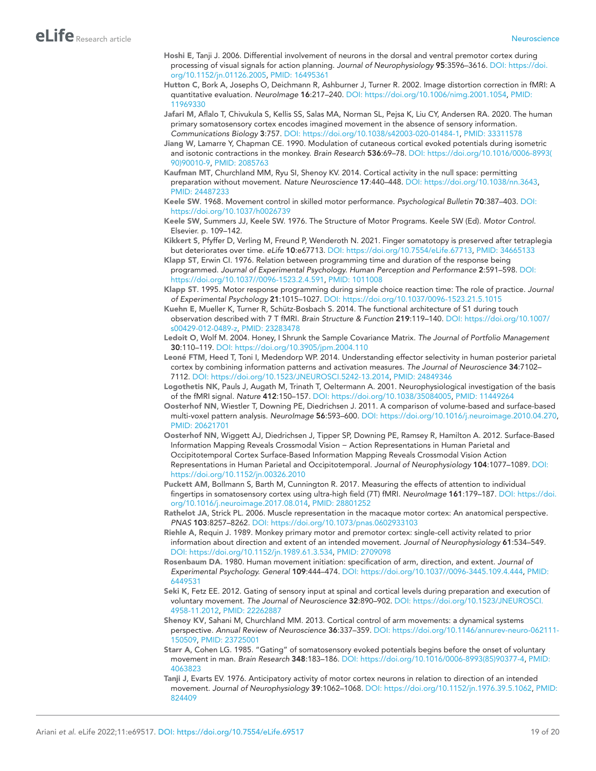- <span id="page-18-5"></span>Hoshi E, Tanji J. 2006. Differential involvement of neurons in the dorsal and ventral premotor cortex during processing of visual signals for action planning. *Journal of Neurophysiology* 95:3596–3616. DOI: [https://doi.](https://doi.org/10.1152/jn.01126.2005) [org/10.1152/jn.01126.2005,](https://doi.org/10.1152/jn.01126.2005) PMID: [16495361](http://www.ncbi.nlm.nih.gov/pubmed/16495361)
- <span id="page-18-21"></span>Hutton C, Bork A, Josephs O, Deichmann R, Ashburner J, Turner R. 2002. Image distortion correction in fMRI: A quantitative evaluation. *NeuroImage* 16:217–240. DOI: <https://doi.org/10.1006/nimg.2001.1054>, PMID: [11969330](http://www.ncbi.nlm.nih.gov/pubmed/11969330)
- <span id="page-18-12"></span>Jafari M, Aflalo T, Chivukula S, Kellis SS, Salas MA, Norman SL, Pejsa K, Liu CY, Andersen RA. 2020. The human primary somatosensory cortex encodes imagined movement in the absence of sensory information. *Communications Biology* 3:757. DOI:<https://doi.org/10.1038/s42003-020-01484-1>, PMID: [33311578](http://www.ncbi.nlm.nih.gov/pubmed/33311578)
- <span id="page-18-18"></span>Jiang W, Lamarre Y, Chapman CE. 1990. Modulation of cutaneous cortical evoked potentials during isometric and isotonic contractions in the monkey. *Brain Research* 536:69–78. DOI: [https://doi.org/10.1016/0006-8993\(](https://doi.org/10.1016/0006-8993(90)90010-9) [90\)90010-9](https://doi.org/10.1016/0006-8993(90)90010-9), PMID: [2085763](http://www.ncbi.nlm.nih.gov/pubmed/2085763)
- <span id="page-18-14"></span>Kaufman MT, Churchland MM, Ryu SI, Shenoy KV. 2014. Cortical activity in the null space: permitting preparation without movement. *Nature Neuroscience* 17:440–448. DOI: <https://doi.org/10.1038/nn.3643>, PMID: [24487233](http://www.ncbi.nlm.nih.gov/pubmed/24487233)
- <span id="page-18-0"></span>Keele SW. 1968. Movement control in skilled motor performance. *Psychological Bulletin* 70:387–403. DOI: <https://doi.org/10.1037/h0026739>
- <span id="page-18-1"></span>Keele SW, Summers JJ, Keele SW. 1976. The Structure of Motor Programs. Keele SW (Ed). *Motor Control*. Elsevier. p. 109–142.
- <span id="page-18-10"></span>Kikkert S, Pfyffer D, Verling M, Freund P, Wenderoth N. 2021. Finger somatotopy is preserved after tetraplegia but deteriorates over time. *eLife* 10:e67713. DOI: <https://doi.org/10.7554/eLife.67713>, PMID: [34665133](http://www.ncbi.nlm.nih.gov/pubmed/34665133)
- <span id="page-18-3"></span>Klapp ST, Erwin CI. 1976. Relation between programming time and duration of the response being programmed. *Journal of Experimental Psychology. Human Perception and Performance* 2:591–598. DOI: <https://doi.org/10.1037//0096-1523.2.4.591>, PMID: [1011008](http://www.ncbi.nlm.nih.gov/pubmed/1011008)
- <span id="page-18-4"></span>Klapp ST. 1995. Motor response programming during simple choice reaction time: The role of practice. *Journal of Experimental Psychology* 21:1015–1027. DOI:<https://doi.org/10.1037/0096-1523.21.5.1015>
- <span id="page-18-9"></span>Kuehn E, Mueller K, Turner R, Schütz-Bosbach S. 2014. The functional architecture of S1 during touch observation described with 7 T fMRI. *Brain Structure & Function* 219:119–140. DOI: [https://doi.org/10.1007/](https://doi.org/10.1007/s00429-012-0489-z) [s00429-012-0489-z,](https://doi.org/10.1007/s00429-012-0489-z) PMID: [23283478](http://www.ncbi.nlm.nih.gov/pubmed/23283478)
- <span id="page-18-23"></span>Ledoit O, Wolf M. 2004. Honey, I Shrunk the Sample Covariance Matrix. *The Journal of Portfolio Management* 30:110–119. DOI:<https://doi.org/10.3905/jpm.2004.110>
- <span id="page-18-6"></span>Leoné FTM, Heed T, Toni I, Medendorp WP. 2014. Understanding effector selectivity in human posterior parietal cortex by combining information patterns and activation measures. *The Journal of Neuroscience* 34:7102– 7112. DOI: <https://doi.org/10.1523/JNEUROSCI.5242-13.2014>, PMID: [24849346](http://www.ncbi.nlm.nih.gov/pubmed/24849346)
- <span id="page-18-20"></span>Logothetis NK, Pauls J, Augath M, Trinath T, Oeltermann A. 2001. Neurophysiological investigation of the basis of the fMRI signal. *Nature* 412:150–157. DOI: [https://doi.org/10.1038/35084005,](https://doi.org/10.1038/35084005) PMID: [11449264](http://www.ncbi.nlm.nih.gov/pubmed/11449264)
- <span id="page-18-22"></span>Oosterhof NN, Wiestler T, Downing PE, Diedrichsen J. 2011. A comparison of volume-based and surface-based multi-voxel pattern analysis. *NeuroImage* 56:593–600. DOI: <https://doi.org/10.1016/j.neuroimage.2010.04.270>, PMID: [20621701](http://www.ncbi.nlm.nih.gov/pubmed/20621701)
- <span id="page-18-13"></span>Oosterhof NN, Wiggett AJ, Diedrichsen J, Tipper SP, Downing PE, Ramsey R, Hamilton A. 2012. Surface-Based Information Mapping Reveals Crossmodal Vision − Action Representations in Human Parietal and Occipitotemporal Cortex Surface-Based Information Mapping Reveals Crossmodal Vision Action Representations in Human Parietal and Occipitotemporal. *Journal of Neurophysiology* 104:1077–1089. DOI: <https://doi.org/10.1152/jn.00326.2010>
- <span id="page-18-11"></span>Puckett AM, Bollmann S, Barth M, Cunnington R. 2017. Measuring the effects of attention to individual fingertips in somatosensory cortex using ultra-high field (7T) fMRI. *NeuroImage* 161:179–187. DOI: [https://doi.](https://doi.org/10.1016/j.neuroimage.2017.08.014) [org/10.1016/j.neuroimage.2017.08.014,](https://doi.org/10.1016/j.neuroimage.2017.08.014) PMID: [28801252](http://www.ncbi.nlm.nih.gov/pubmed/28801252)
- <span id="page-18-16"></span>Rathelot JA, Strick PL. 2006. Muscle representation in the macaque motor cortex: An anatomical perspective. *PNAS* 103:8257–8262. DOI:<https://doi.org/10.1073/pnas.0602933103>
- <span id="page-18-15"></span>Riehle A, Requin J. 1989. Monkey primary motor and premotor cortex: single-cell activity related to prior information about direction and extent of an intended movement. *Journal of Neurophysiology* 61:534–549. DOI: [https://doi.org/10.1152/jn.1989.61.3.534,](https://doi.org/10.1152/jn.1989.61.3.534) PMID: [2709098](http://www.ncbi.nlm.nih.gov/pubmed/2709098)
- <span id="page-18-2"></span>Rosenbaum DA. 1980. Human movement initiation: specification of arm, direction, and extent. *Journal of Experimental Psychology. General* 109:444–474. DOI: <https://doi.org/10.1037//0096-3445.109.4.444>, PMID: [6449531](http://www.ncbi.nlm.nih.gov/pubmed/6449531)
- <span id="page-18-19"></span>Seki K, Fetz EE. 2012. Gating of sensory input at spinal and cortical levels during preparation and execution of voluntary movement. *The Journal of Neuroscience* 32:890–902. DOI: [https://doi.org/10.1523/JNEUROSCI.](https://doi.org/10.1523/JNEUROSCI.4958-11.2012) [4958-11.2012,](https://doi.org/10.1523/JNEUROSCI.4958-11.2012) PMID: [22262887](http://www.ncbi.nlm.nih.gov/pubmed/22262887)
- <span id="page-18-7"></span>Shenoy KV, Sahani M, Churchland MM. 2013. Cortical control of arm movements: a dynamical systems perspective. *Annual Review of Neuroscience* 36:337–359. DOI: [https://doi.org/10.1146/annurev-neuro-062111-](https://doi.org/10.1146/annurev-neuro-062111-150509) [150509](https://doi.org/10.1146/annurev-neuro-062111-150509), PMID: [23725001](http://www.ncbi.nlm.nih.gov/pubmed/23725001)
- <span id="page-18-17"></span>Starr A, Cohen LG. 1985. "Gating" of somatosensory evoked potentials begins before the onset of voluntary movement in man. *Brain Research* 348:183–186. DOI: [https://doi.org/10.1016/0006-8993\(85\)90377-4,](https://doi.org/10.1016/0006-8993(85)90377-4) PMID: [4063823](http://www.ncbi.nlm.nih.gov/pubmed/4063823)
- <span id="page-18-8"></span>Tanji J, Evarts EV. 1976. Anticipatory activity of motor cortex neurons in relation to direction of an intended movement. *Journal of Neurophysiology* 39:1062–1068. DOI: <https://doi.org/10.1152/jn.1976.39.5.1062>, PMID: [824409](http://www.ncbi.nlm.nih.gov/pubmed/824409)